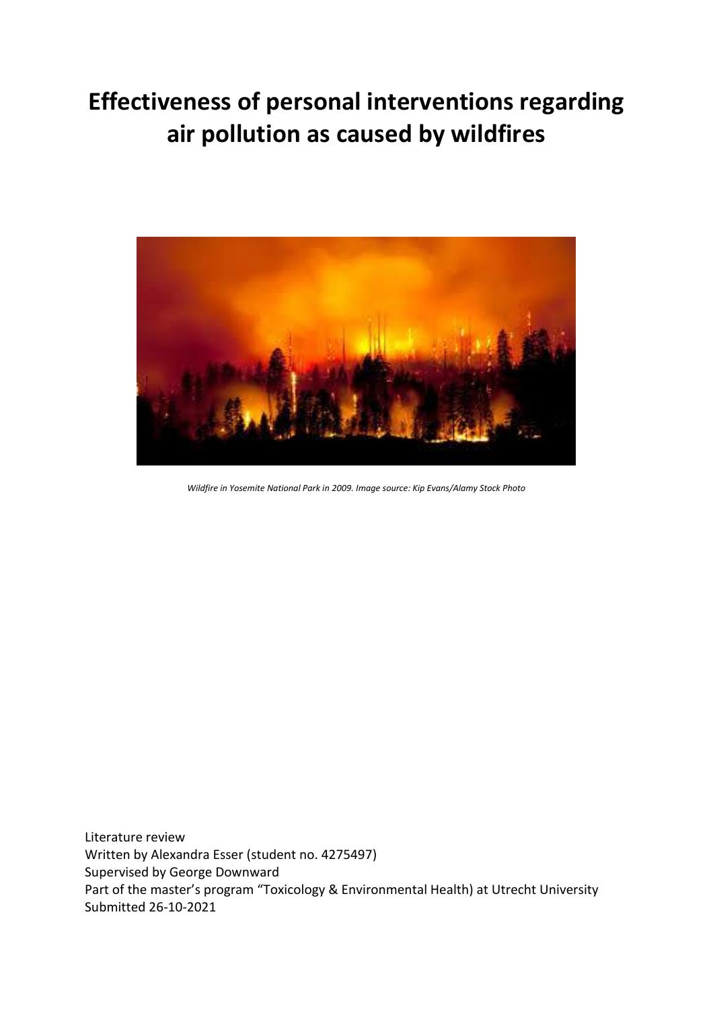# **Effectiveness of personal interventions regarding air pollution as caused by wildfires**



*Wildfire in Yosemite National Park in 2009. Image source: Kip Evans/Alamy Stock Photo*

Literature review Written by Alexandra Esser (student no. 4275497) Supervised by George Downward Part of the master's program "Toxicology & Environmental Health) at Utrecht University Submitted 26-10-2021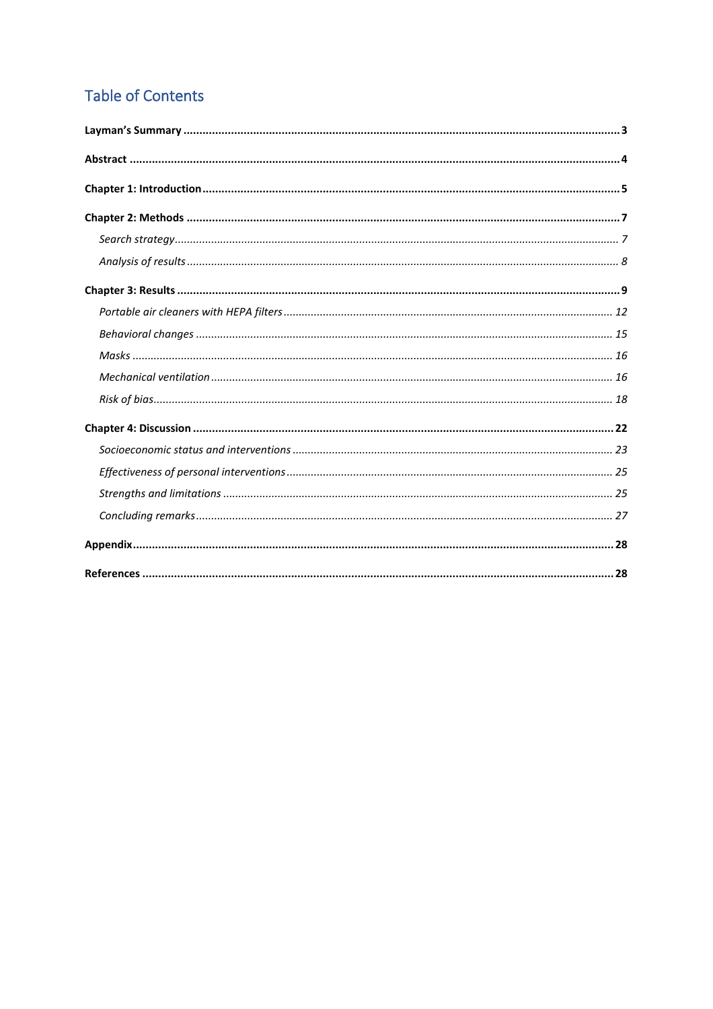# **Table of Contents**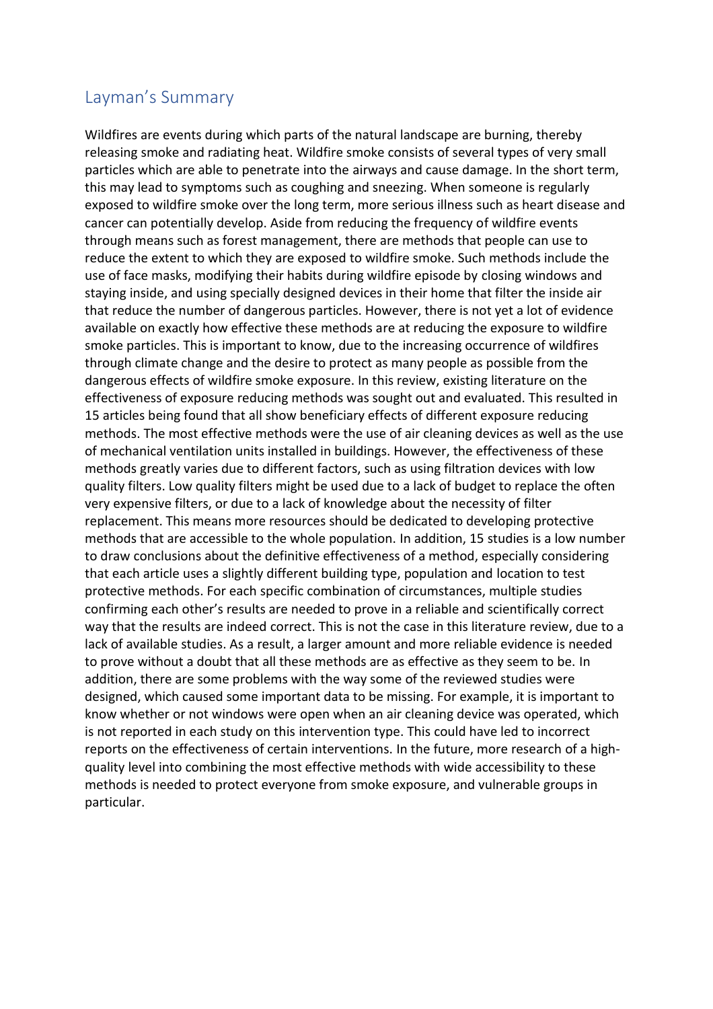### <span id="page-2-0"></span>Layman's Summary

Wildfires are events during which parts of the natural landscape are burning, thereby releasing smoke and radiating heat. Wildfire smoke consists of several types of very small particles which are able to penetrate into the airways and cause damage. In the short term, this may lead to symptoms such as coughing and sneezing. When someone is regularly exposed to wildfire smoke over the long term, more serious illness such as heart disease and cancer can potentially develop. Aside from reducing the frequency of wildfire events through means such as forest management, there are methods that people can use to reduce the extent to which they are exposed to wildfire smoke. Such methods include the use of face masks, modifying their habits during wildfire episode by closing windows and staying inside, and using specially designed devices in their home that filter the inside air that reduce the number of dangerous particles. However, there is not yet a lot of evidence available on exactly how effective these methods are at reducing the exposure to wildfire smoke particles. This is important to know, due to the increasing occurrence of wildfires through climate change and the desire to protect as many people as possible from the dangerous effects of wildfire smoke exposure. In this review, existing literature on the effectiveness of exposure reducing methods was sought out and evaluated. This resulted in 15 articles being found that all show beneficiary effects of different exposure reducing methods. The most effective methods were the use of air cleaning devices as well as the use of mechanical ventilation units installed in buildings. However, the effectiveness of these methods greatly varies due to different factors, such as using filtration devices with low quality filters. Low quality filters might be used due to a lack of budget to replace the often very expensive filters, or due to a lack of knowledge about the necessity of filter replacement. This means more resources should be dedicated to developing protective methods that are accessible to the whole population. In addition, 15 studies is a low number to draw conclusions about the definitive effectiveness of a method, especially considering that each article uses a slightly different building type, population and location to test protective methods. For each specific combination of circumstances, multiple studies confirming each other's results are needed to prove in a reliable and scientifically correct way that the results are indeed correct. This is not the case in this literature review, due to a lack of available studies. As a result, a larger amount and more reliable evidence is needed to prove without a doubt that all these methods are as effective as they seem to be. In addition, there are some problems with the way some of the reviewed studies were designed, which caused some important data to be missing. For example, it is important to know whether or not windows were open when an air cleaning device was operated, which is not reported in each study on this intervention type. This could have led to incorrect reports on the effectiveness of certain interventions. In the future, more research of a highquality level into combining the most effective methods with wide accessibility to these methods is needed to protect everyone from smoke exposure, and vulnerable groups in particular.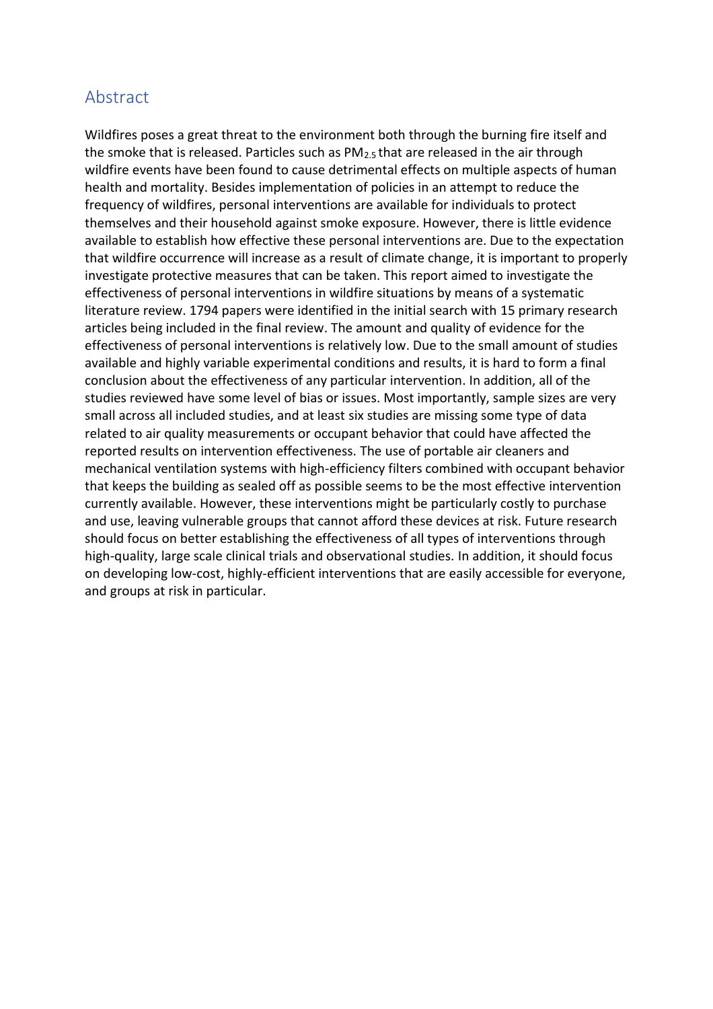# <span id="page-3-0"></span>Abstract

Wildfires poses a great threat to the environment both through the burning fire itself and the smoke that is released. Particles such as  $PM_{2.5}$  that are released in the air through wildfire events have been found to cause detrimental effects on multiple aspects of human health and mortality. Besides implementation of policies in an attempt to reduce the frequency of wildfires, personal interventions are available for individuals to protect themselves and their household against smoke exposure. However, there is little evidence available to establish how effective these personal interventions are. Due to the expectation that wildfire occurrence will increase as a result of climate change, it is important to properly investigate protective measures that can be taken. This report aimed to investigate the effectiveness of personal interventions in wildfire situations by means of a systematic literature review. 1794 papers were identified in the initial search with 15 primary research articles being included in the final review. The amount and quality of evidence for the effectiveness of personal interventions is relatively low. Due to the small amount of studies available and highly variable experimental conditions and results, it is hard to form a final conclusion about the effectiveness of any particular intervention. In addition, all of the studies reviewed have some level of bias or issues. Most importantly, sample sizes are very small across all included studies, and at least six studies are missing some type of data related to air quality measurements or occupant behavior that could have affected the reported results on intervention effectiveness. The use of portable air cleaners and mechanical ventilation systems with high-efficiency filters combined with occupant behavior that keeps the building as sealed off as possible seems to be the most effective intervention currently available. However, these interventions might be particularly costly to purchase and use, leaving vulnerable groups that cannot afford these devices at risk. Future research should focus on better establishing the effectiveness of all types of interventions through high-quality, large scale clinical trials and observational studies. In addition, it should focus on developing low-cost, highly-efficient interventions that are easily accessible for everyone, and groups at risk in particular.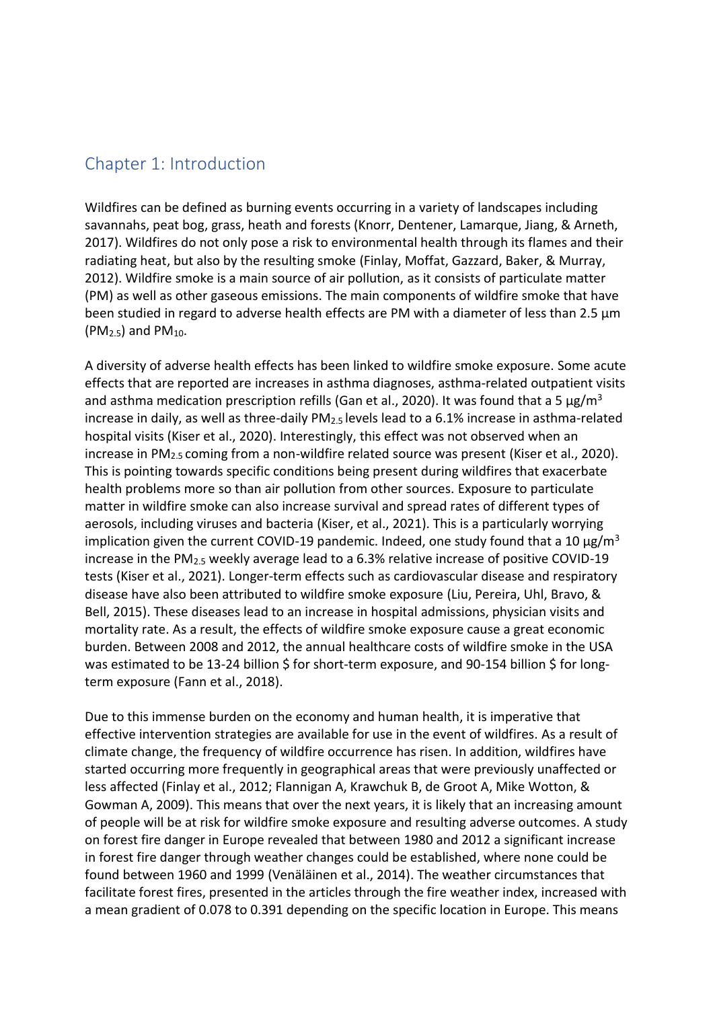### <span id="page-4-0"></span>Chapter 1: Introduction

Wildfires can be defined as burning events occurring in a variety of landscapes including savannahs, peat bog, grass, heath and forests (Knorr, Dentener, Lamarque, Jiang, & Arneth, 2017). Wildfires do not only pose a risk to environmental health through its flames and their radiating heat, but also by the resulting smoke (Finlay, Moffat, Gazzard, Baker, & Murray, 2012). Wildfire smoke is a main source of air pollution, as it consists of particulate matter (PM) as well as other gaseous emissions. The main components of wildfire smoke that have been studied in regard to adverse health effects are PM with a diameter of less than 2.5  $\mu$ m  $(PM<sub>2.5</sub>)$  and PM<sub>10</sub>.

A diversity of adverse health effects has been linked to wildfire smoke exposure. Some acute effects that are reported are increases in asthma diagnoses, asthma-related outpatient visits and asthma medication prescription refills (Gan et al., 2020). It was found that a 5  $\mu$ g/m<sup>3</sup> increase in daily, as well as three-daily PM<sub>2.5</sub> levels lead to a 6.1% increase in asthma-related hospital visits (Kiser et al., 2020). Interestingly, this effect was not observed when an increase in PM<sub>2.5</sub> coming from a non-wildfire related source was present (Kiser et al., 2020). This is pointing towards specific conditions being present during wildfires that exacerbate health problems more so than air pollution from other sources. Exposure to particulate matter in wildfire smoke can also increase survival and spread rates of different types of aerosols, including viruses and bacteria (Kiser, et al., 2021). This is a particularly worrying implication given the current COVID-19 pandemic. Indeed, one study found that a 10  $\mu$ g/m<sup>3</sup> increase in the PM2.5 weekly average lead to a 6.3% relative increase of positive COVID-19 tests (Kiser et al., 2021). Longer-term effects such as cardiovascular disease and respiratory disease have also been attributed to wildfire smoke exposure (Liu, Pereira, Uhl, Bravo, & Bell, 2015). These diseases lead to an increase in hospital admissions, physician visits and mortality rate. As a result, the effects of wildfire smoke exposure cause a great economic burden. Between 2008 and 2012, the annual healthcare costs of wildfire smoke in the USA was estimated to be 13-24 billion \$ for short-term exposure, and 90-154 billion \$ for longterm exposure (Fann et al., 2018).

Due to this immense burden on the economy and human health, it is imperative that effective intervention strategies are available for use in the event of wildfires. As a result of climate change, the frequency of wildfire occurrence has risen. In addition, wildfires have started occurring more frequently in geographical areas that were previously unaffected or less affected (Finlay et al., 2012; Flannigan A, Krawchuk B, de Groot A, Mike Wotton, & Gowman A, 2009). This means that over the next years, it is likely that an increasing amount of people will be at risk for wildfire smoke exposure and resulting adverse outcomes. A study on forest fire danger in Europe revealed that between 1980 and 2012 a significant increase in forest fire danger through weather changes could be established, where none could be found between 1960 and 1999 (Venäläinen et al., 2014). The weather circumstances that facilitate forest fires, presented in the articles through the fire weather index, increased with a mean gradient of 0.078 to 0.391 depending on the specific location in Europe. This means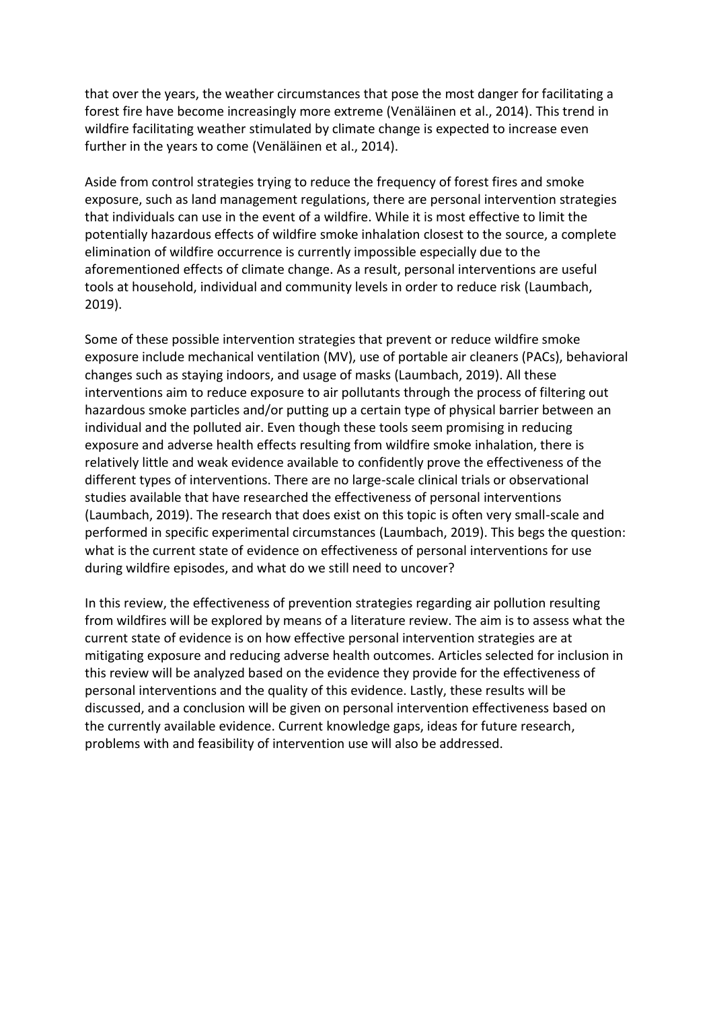that over the years, the weather circumstances that pose the most danger for facilitating a forest fire have become increasingly more extreme (Venäläinen et al., 2014). This trend in wildfire facilitating weather stimulated by climate change is expected to increase even further in the years to come (Venäläinen et al., 2014).

Aside from control strategies trying to reduce the frequency of forest fires and smoke exposure, such as land management regulations, there are personal intervention strategies that individuals can use in the event of a wildfire. While it is most effective to limit the potentially hazardous effects of wildfire smoke inhalation closest to the source, a complete elimination of wildfire occurrence is currently impossible especially due to the aforementioned effects of climate change. As a result, personal interventions are useful tools at household, individual and community levels in order to reduce risk (Laumbach, 2019).

Some of these possible intervention strategies that prevent or reduce wildfire smoke exposure include mechanical ventilation (MV), use of portable air cleaners (PACs), behavioral changes such as staying indoors, and usage of masks (Laumbach, 2019). All these interventions aim to reduce exposure to air pollutants through the process of filtering out hazardous smoke particles and/or putting up a certain type of physical barrier between an individual and the polluted air. Even though these tools seem promising in reducing exposure and adverse health effects resulting from wildfire smoke inhalation, there is relatively little and weak evidence available to confidently prove the effectiveness of the different types of interventions. There are no large-scale clinical trials or observational studies available that have researched the effectiveness of personal interventions (Laumbach, 2019). The research that does exist on this topic is often very small-scale and performed in specific experimental circumstances (Laumbach, 2019). This begs the question: what is the current state of evidence on effectiveness of personal interventions for use during wildfire episodes, and what do we still need to uncover?

In this review, the effectiveness of prevention strategies regarding air pollution resulting from wildfires will be explored by means of a literature review. The aim is to assess what the current state of evidence is on how effective personal intervention strategies are at mitigating exposure and reducing adverse health outcomes. Articles selected for inclusion in this review will be analyzed based on the evidence they provide for the effectiveness of personal interventions and the quality of this evidence. Lastly, these results will be discussed, and a conclusion will be given on personal intervention effectiveness based on the currently available evidence. Current knowledge gaps, ideas for future research, problems with and feasibility of intervention use will also be addressed.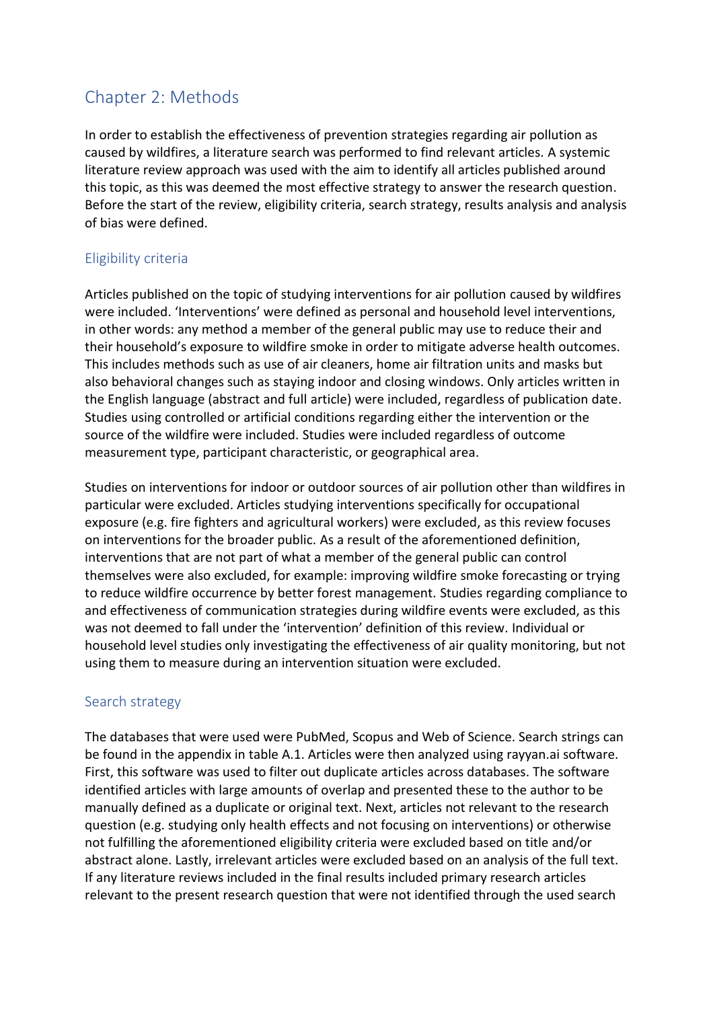# <span id="page-6-0"></span>Chapter 2: Methods

In order to establish the effectiveness of prevention strategies regarding air pollution as caused by wildfires, a literature search was performed to find relevant articles. A systemic literature review approach was used with the aim to identify all articles published around this topic, as this was deemed the most effective strategy to answer the research question. Before the start of the review, eligibility criteria, search strategy, results analysis and analysis of bias were defined.

### Eligibility criteria

Articles published on the topic of studying interventions for air pollution caused by wildfires were included. 'Interventions' were defined as personal and household level interventions, in other words: any method a member of the general public may use to reduce their and their household's exposure to wildfire smoke in order to mitigate adverse health outcomes. This includes methods such as use of air cleaners, home air filtration units and masks but also behavioral changes such as staying indoor and closing windows. Only articles written in the English language (abstract and full article) were included, regardless of publication date. Studies using controlled or artificial conditions regarding either the intervention or the source of the wildfire were included. Studies were included regardless of outcome measurement type, participant characteristic, or geographical area.

Studies on interventions for indoor or outdoor sources of air pollution other than wildfires in particular were excluded. Articles studying interventions specifically for occupational exposure (e.g. fire fighters and agricultural workers) were excluded, as this review focuses on interventions for the broader public. As a result of the aforementioned definition, interventions that are not part of what a member of the general public can control themselves were also excluded, for example: improving wildfire smoke forecasting or trying to reduce wildfire occurrence by better forest management. Studies regarding compliance to and effectiveness of communication strategies during wildfire events were excluded, as this was not deemed to fall under the 'intervention' definition of this review. Individual or household level studies only investigating the effectiveness of air quality monitoring, but not using them to measure during an intervention situation were excluded.

### <span id="page-6-1"></span>Search strategy

The databases that were used were PubMed, Scopus and Web of Science. Search strings can be found in the appendix in table A.1. Articles were then analyzed using rayyan.ai software. First, this software was used to filter out duplicate articles across databases. The software identified articles with large amounts of overlap and presented these to the author to be manually defined as a duplicate or original text. Next, articles not relevant to the research question (e.g. studying only health effects and not focusing on interventions) or otherwise not fulfilling the aforementioned eligibility criteria were excluded based on title and/or abstract alone. Lastly, irrelevant articles were excluded based on an analysis of the full text. If any literature reviews included in the final results included primary research articles relevant to the present research question that were not identified through the used search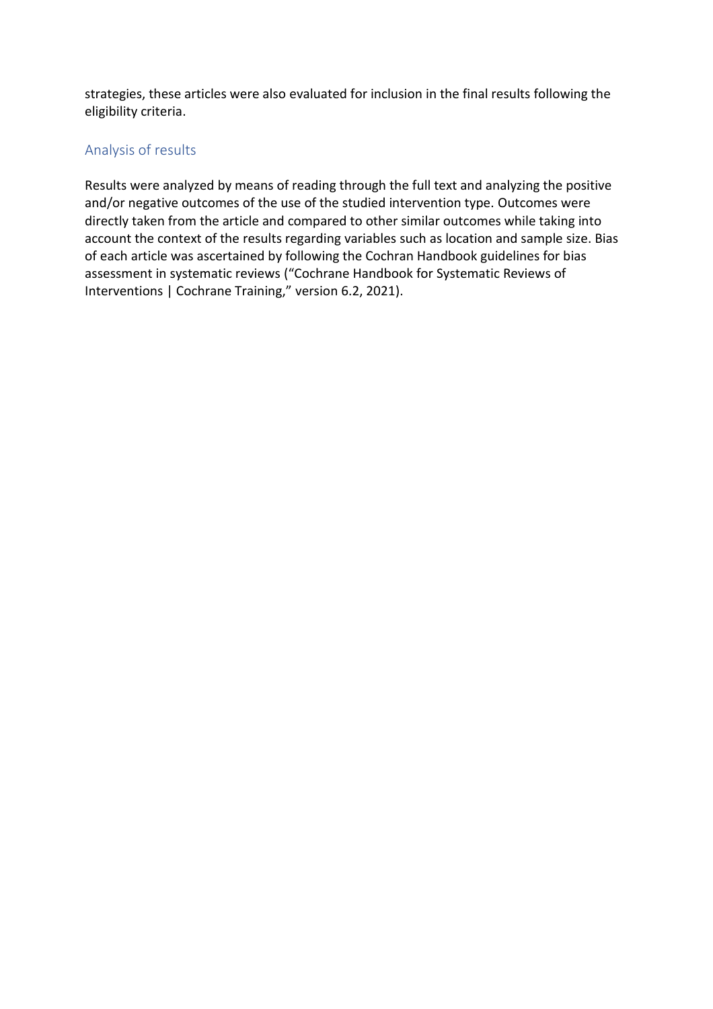strategies, these articles were also evaluated for inclusion in the final results following the eligibility criteria.

### <span id="page-7-0"></span>Analysis of results

Results were analyzed by means of reading through the full text and analyzing the positive and/or negative outcomes of the use of the studied intervention type. Outcomes were directly taken from the article and compared to other similar outcomes while taking into account the context of the results regarding variables such as location and sample size. Bias of each article was ascertained by following the Cochran Handbook guidelines for bias assessment in systematic reviews ("Cochrane Handbook for Systematic Reviews of Interventions | Cochrane Training," version 6.2, 2021).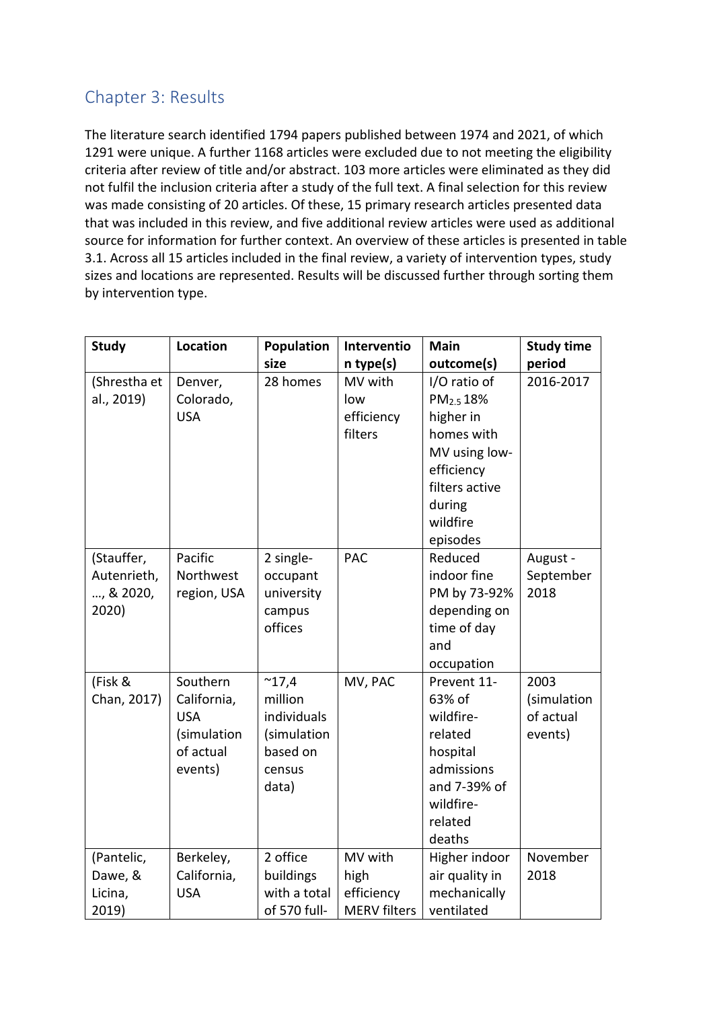# <span id="page-8-0"></span>Chapter 3: Results

The literature search identified 1794 papers published between 1974 and 2021, of which 1291 were unique. A further 1168 articles were excluded due to not meeting the eligibility criteria after review of title and/or abstract. 103 more articles were eliminated as they did not fulfil the inclusion criteria after a study of the full text. A final selection for this review was made consisting of 20 articles. Of these, 15 primary research articles presented data that was included in this review, and five additional review articles were used as additional source for information for further context. An overview of these articles is presented in table 3.1. Across all 15 articles included in the final review, a variety of intervention types, study sizes and locations are represented. Results will be discussed further through sorting them by intervention type.

| <b>Study</b>                                    | Location                                                                     | Population                                                                             | Interventio                                          | <b>Main</b>                                                                                                                                         | <b>Study time</b>                           |
|-------------------------------------------------|------------------------------------------------------------------------------|----------------------------------------------------------------------------------------|------------------------------------------------------|-----------------------------------------------------------------------------------------------------------------------------------------------------|---------------------------------------------|
|                                                 |                                                                              | size                                                                                   | n type(s)                                            | outcome(s)                                                                                                                                          | period                                      |
| (Shrestha et<br>al., 2019)                      | Denver,<br>Colorado,<br><b>USA</b>                                           | 28 homes                                                                               | MV with<br>low<br>efficiency<br>filters              | I/O ratio of<br>PM <sub>2.5</sub> 18%<br>higher in<br>homes with<br>MV using low-<br>efficiency<br>filters active<br>during<br>wildfire<br>episodes | 2016-2017                                   |
| (Stauffer,<br>Autenrieth,<br>, & 2020,<br>2020) | Pacific<br>Northwest<br>region, USA                                          | 2 single-<br>occupant<br>university<br>campus<br>offices                               | <b>PAC</b>                                           | Reduced<br>indoor fine<br>PM by 73-92%<br>depending on<br>time of day<br>and<br>occupation                                                          | August -<br>September<br>2018               |
| (Fisk &<br>Chan, 2017)                          | Southern<br>California,<br><b>USA</b><br>(simulation<br>of actual<br>events) | $^{\sim}$ 17,4<br>million<br>individuals<br>(simulation<br>based on<br>census<br>data) | MV, PAC                                              | Prevent 11-<br>63% of<br>wildfire-<br>related<br>hospital<br>admissions<br>and 7-39% of<br>wildfire-<br>related<br>deaths                           | 2003<br>(simulation<br>of actual<br>events) |
| (Pantelic,<br>Dawe, &<br>Licina,<br>2019)       | Berkeley,<br>California,<br><b>USA</b>                                       | 2 office<br>buildings<br>with a total<br>of 570 full-                                  | MV with<br>high<br>efficiency<br><b>MERV</b> filters | Higher indoor<br>air quality in<br>mechanically<br>ventilated                                                                                       | November<br>2018                            |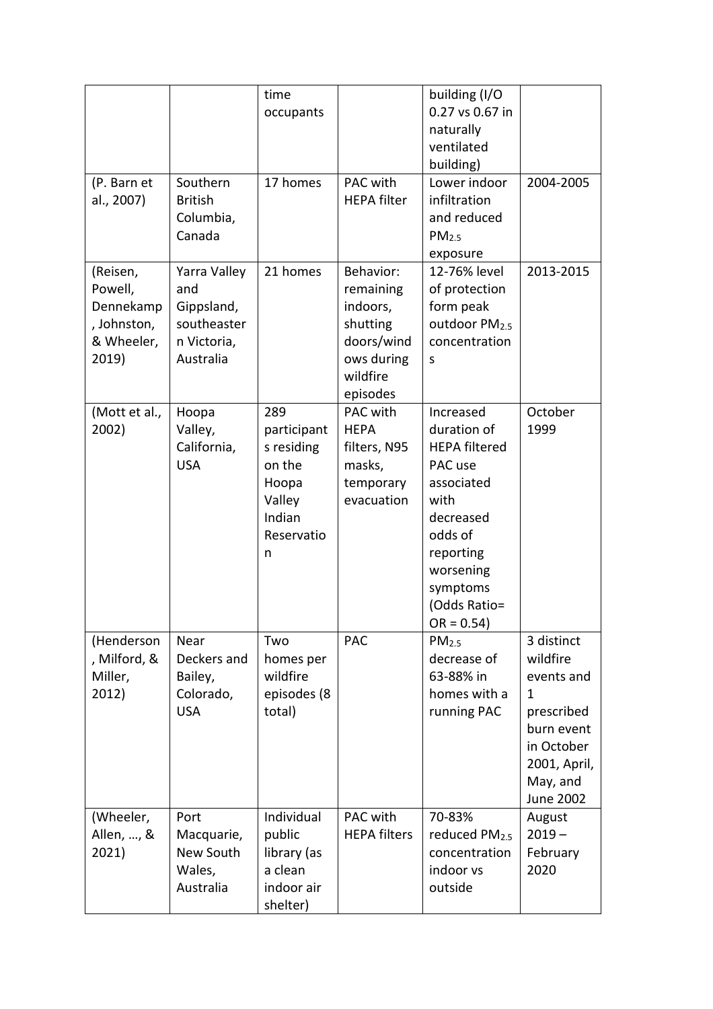|                                                                        |                                                                              | time<br>occupants                                                                          |                                                                                                    | building (I/O<br>0.27 vs 0.67 in<br>naturally<br>ventilated<br>building)<br>Lower indoor                                                                                       |                                                                                                                                        |
|------------------------------------------------------------------------|------------------------------------------------------------------------------|--------------------------------------------------------------------------------------------|----------------------------------------------------------------------------------------------------|--------------------------------------------------------------------------------------------------------------------------------------------------------------------------------|----------------------------------------------------------------------------------------------------------------------------------------|
| (P. Barn et<br>al., 2007)                                              | Southern<br><b>British</b><br>Columbia,<br>Canada                            | 17 homes                                                                                   | PAC with<br><b>HEPA filter</b>                                                                     | infiltration<br>and reduced<br>PM <sub>2.5</sub><br>exposure                                                                                                                   | 2004-2005                                                                                                                              |
| (Reisen,<br>Powell,<br>Dennekamp<br>, Johnston,<br>& Wheeler,<br>2019) | Yarra Valley<br>and<br>Gippsland,<br>southeaster<br>n Victoria,<br>Australia | 21 homes                                                                                   | Behavior:<br>remaining<br>indoors,<br>shutting<br>doors/wind<br>ows during<br>wildfire<br>episodes | 12-76% level<br>of protection<br>form peak<br>outdoor PM <sub>2.5</sub><br>concentration<br>S                                                                                  | 2013-2015                                                                                                                              |
| (Mott et al.,<br>2002)                                                 | Hoopa<br>Valley,<br>California,<br><b>USA</b>                                | 289<br>participant<br>s residing<br>on the<br>Hoopa<br>Valley<br>Indian<br>Reservatio<br>n | PAC with<br><b>HEPA</b><br>filters, N95<br>masks,<br>temporary<br>evacuation                       | Increased<br>duration of<br><b>HEPA filtered</b><br>PAC use<br>associated<br>with<br>decreased<br>odds of<br>reporting<br>worsening<br>symptoms<br>(Odds Ratio=<br>$OR = 0.54$ | October<br>1999                                                                                                                        |
| (Henderson<br>, Milford, &<br>Miller,<br>2012)                         | Near<br>Deckers and<br>Bailey,<br>Colorado,<br><b>USA</b>                    | Two<br>homes per<br>wildfire<br>episodes (8<br>total)                                      | <b>PAC</b>                                                                                         | PM <sub>2.5</sub><br>decrease of<br>63-88% in<br>homes with a<br>running PAC                                                                                                   | 3 distinct<br>wildfire<br>events and<br>$\mathbf 1$<br>prescribed<br>burn event<br>in October<br>2001, April,<br>May, and<br>June 2002 |
| (Wheeler,<br>Allen, , &<br>2021)                                       | Port<br>Macquarie,<br>New South<br>Wales,<br>Australia                       | Individual<br>public<br>library (as<br>a clean<br>indoor air<br>shelter)                   | PAC with<br><b>HEPA filters</b>                                                                    | 70-83%<br>reduced PM <sub>2.5</sub><br>concentration<br>indoor vs<br>outside                                                                                                   | August<br>$2019 -$<br>February<br>2020                                                                                                 |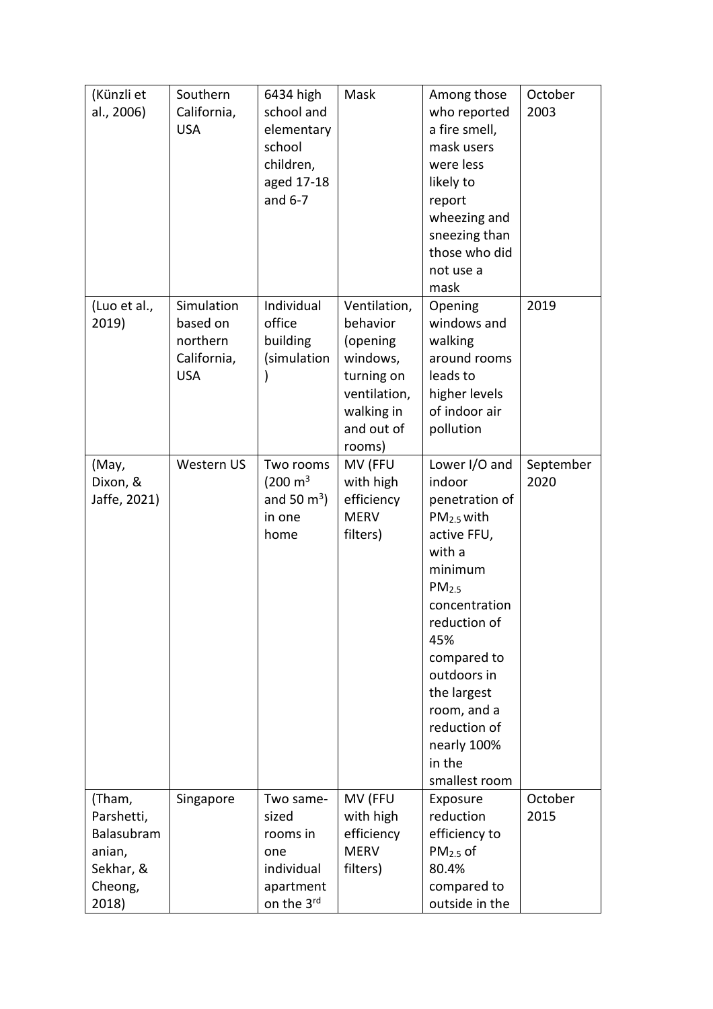| (Künzli et<br>al., 2006)                                                      | Southern<br>California,<br><b>USA</b>                           | 6434 high<br>school and<br>elementary<br>school<br>children,<br>aged 17-18<br>and $6-7$ | Mask                                                                                                                 | Among those<br>who reported<br>a fire smell,<br>mask users<br>were less<br>likely to<br>report<br>wheezing and<br>sneezing than<br>those who did<br>not use a<br>mask                                                                                                                      | October<br>2003   |
|-------------------------------------------------------------------------------|-----------------------------------------------------------------|-----------------------------------------------------------------------------------------|----------------------------------------------------------------------------------------------------------------------|--------------------------------------------------------------------------------------------------------------------------------------------------------------------------------------------------------------------------------------------------------------------------------------------|-------------------|
| (Luo et al.,<br>2019)                                                         | Simulation<br>based on<br>northern<br>California,<br><b>USA</b> | Individual<br>office<br>building<br>(simulation                                         | Ventilation,<br>behavior<br>(opening<br>windows,<br>turning on<br>ventilation,<br>walking in<br>and out of<br>rooms) | Opening<br>windows and<br>walking<br>around rooms<br>leads to<br>higher levels<br>of indoor air<br>pollution                                                                                                                                                                               | 2019              |
| (May,<br>Dixon, &<br>Jaffe, 2021)                                             | Western US                                                      | Two rooms<br>$(200 \text{ m}^3)$<br>and 50 $m^3$ )<br>in one<br>home                    | MV (FFU<br>with high<br>efficiency<br><b>MERV</b><br>filters)                                                        | Lower I/O and<br>indoor<br>penetration of<br>PM <sub>2.5</sub> with<br>active FFU,<br>with a<br>minimum<br>PM <sub>2.5</sub><br>concentration<br>reduction of<br>45%<br>compared to<br>outdoors in<br>the largest<br>room, and a<br>reduction of<br>nearly 100%<br>in the<br>smallest room | September<br>2020 |
| (Tham,<br>Parshetti,<br>Balasubram<br>anian,<br>Sekhar, &<br>Cheong,<br>2018) | Singapore                                                       | Two same-<br>sized<br>rooms in<br>one<br>individual<br>apartment<br>on the 3rd          | MV (FFU<br>with high<br>efficiency<br><b>MERV</b><br>filters)                                                        | Exposure<br>reduction<br>efficiency to<br>$PM2.5$ of<br>80.4%<br>compared to<br>outside in the                                                                                                                                                                                             | October<br>2015   |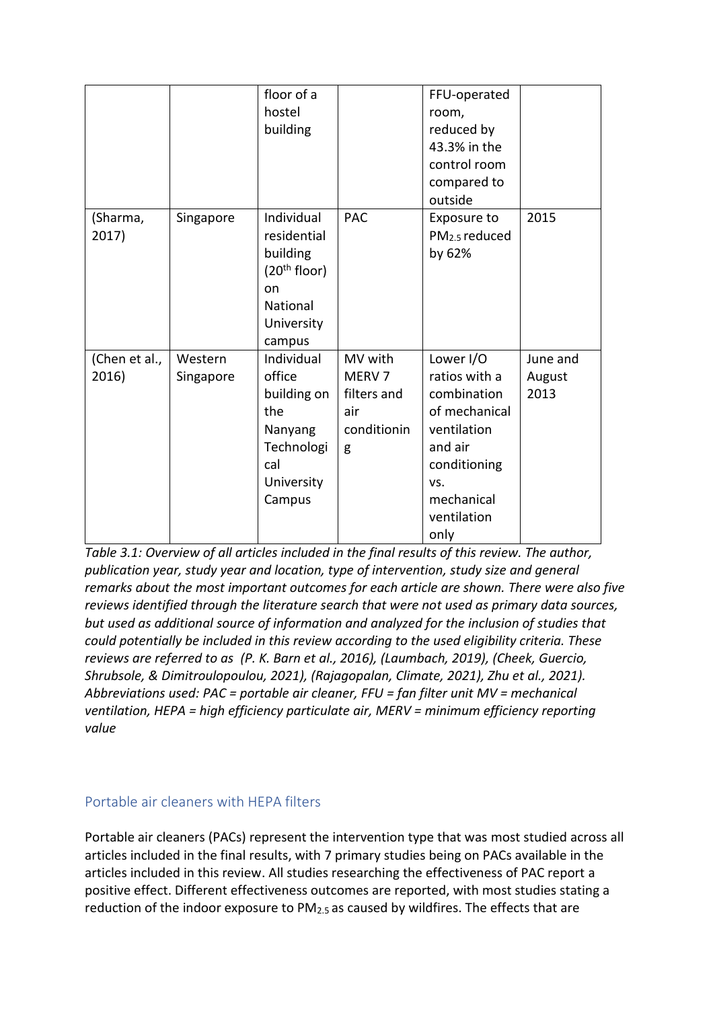|                        |                      | floor of a<br>hostel<br>building                                                                                   |                                                                        | FFU-operated<br>room,<br>reduced by<br>43.3% in the<br>control room<br>compared to<br>outside                                                    |                            |
|------------------------|----------------------|--------------------------------------------------------------------------------------------------------------------|------------------------------------------------------------------------|--------------------------------------------------------------------------------------------------------------------------------------------------|----------------------------|
| (Sharma,<br>2017)      | Singapore            | Individual<br>residential<br>building<br>(20 <sup>th</sup> floor)<br>on<br><b>National</b><br>University<br>campus | <b>PAC</b>                                                             | Exposure to<br>PM <sub>2.5</sub> reduced<br>by 62%                                                                                               | 2015                       |
| (Chen et al.,<br>2016) | Western<br>Singapore | Individual<br>office<br>building on<br>the<br>Nanyang<br>Technologi<br>cal<br>University<br>Campus                 | MV with<br>MERV <sub>7</sub><br>filters and<br>air<br>conditionin<br>g | Lower I/O<br>ratios with a<br>combination<br>of mechanical<br>ventilation<br>and air<br>conditioning<br>VS.<br>mechanical<br>ventilation<br>only | June and<br>August<br>2013 |

*Table 3.1: Overview of all articles included in the final results of this review. The author, publication year, study year and location, type of intervention, study size and general remarks about the most important outcomes for each article are shown. There were also five reviews identified through the literature search that were not used as primary data sources, but used as additional source of information and analyzed for the inclusion of studies that could potentially be included in this review according to the used eligibility criteria. These reviews are referred to as (P. K. Barn et al., 2016), (Laumbach, 2019), (Cheek, Guercio, Shrubsole, & Dimitroulopoulou, 2021), (Rajagopalan, Climate, 2021), Zhu et al., 2021). Abbreviations used: PAC = portable air cleaner, FFU = fan filter unit MV = mechanical ventilation, HEPA = high efficiency particulate air, MERV = minimum efficiency reporting value*

#### <span id="page-11-0"></span>Portable air cleaners with HEPA filters

Portable air cleaners (PACs) represent the intervention type that was most studied across all articles included in the final results, with 7 primary studies being on PACs available in the articles included in this review. All studies researching the effectiveness of PAC report a positive effect. Different effectiveness outcomes are reported, with most studies stating a reduction of the indoor exposure to PM<sub>2.5</sub> as caused by wildfires. The effects that are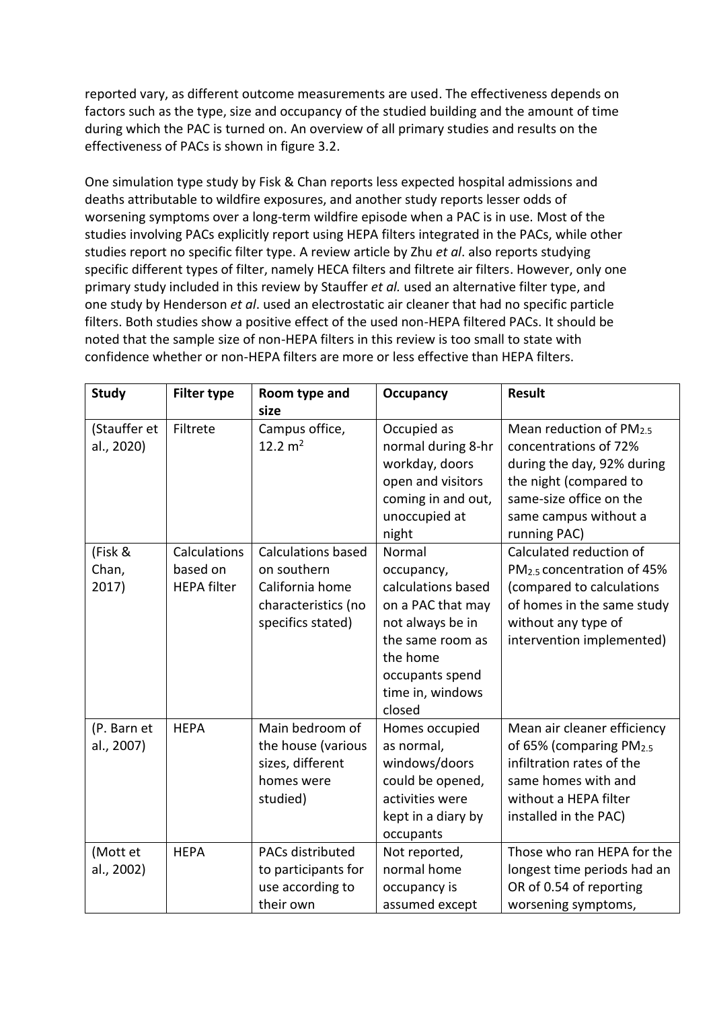reported vary, as different outcome measurements are used. The effectiveness depends on factors such as the type, size and occupancy of the studied building and the amount of time during which the PAC is turned on. An overview of all primary studies and results on the effectiveness of PACs is shown in figure 3.2.

One simulation type study by Fisk & Chan reports less expected hospital admissions and deaths attributable to wildfire exposures, and another study reports lesser odds of worsening symptoms over a long-term wildfire episode when a PAC is in use. Most of the studies involving PACs explicitly report using HEPA filters integrated in the PACs, while other studies report no specific filter type. A review article by Zhu *et al*. also reports studying specific different types of filter, namely HECA filters and filtrete air filters. However, only one primary study included in this review by Stauffer *et al.* used an alternative filter type, and one study by Henderson *et al*. used an electrostatic air cleaner that had no specific particle filters. Both studies show a positive effect of the used non-HEPA filtered PACs. It should be noted that the sample size of non-HEPA filters in this review is too small to state with confidence whether or non-HEPA filters are more or less effective than HEPA filters.

| <b>Study</b>               | <b>Filter type</b>                             | Room type and<br>size                                                                                   | <b>Occupancy</b>                                                                                                                                                     | <b>Result</b>                                                                                                                                                                    |
|----------------------------|------------------------------------------------|---------------------------------------------------------------------------------------------------------|----------------------------------------------------------------------------------------------------------------------------------------------------------------------|----------------------------------------------------------------------------------------------------------------------------------------------------------------------------------|
| (Stauffer et<br>al., 2020) | Filtrete                                       | Campus office,<br>12.2 $m2$                                                                             | Occupied as<br>normal during 8-hr<br>workday, doors<br>open and visitors<br>coming in and out,<br>unoccupied at<br>night                                             | Mean reduction of PM2.5<br>concentrations of 72%<br>during the day, 92% during<br>the night (compared to<br>same-size office on the<br>same campus without a<br>running PAC)     |
| (Fisk &<br>Chan,<br>2017)  | Calculations<br>based on<br><b>HEPA filter</b> | <b>Calculations based</b><br>on southern<br>California home<br>characteristics (no<br>specifics stated) | Normal<br>occupancy,<br>calculations based<br>on a PAC that may<br>not always be in<br>the same room as<br>the home<br>occupants spend<br>time in, windows<br>closed | Calculated reduction of<br>PM <sub>2.5</sub> concentration of 45%<br>(compared to calculations<br>of homes in the same study<br>without any type of<br>intervention implemented) |
| (P. Barn et<br>al., 2007)  | <b>HEPA</b>                                    | Main bedroom of<br>the house (various<br>sizes, different<br>homes were<br>studied)                     | Homes occupied<br>as normal,<br>windows/doors<br>could be opened,<br>activities were<br>kept in a diary by<br>occupants                                              | Mean air cleaner efficiency<br>of 65% (comparing PM <sub>2.5</sub><br>infiltration rates of the<br>same homes with and<br>without a HEPA filter<br>installed in the PAC)         |
| (Mott et<br>al., 2002)     | <b>HEPA</b>                                    | PACs distributed<br>to participants for<br>use according to<br>their own                                | Not reported,<br>normal home<br>occupancy is<br>assumed except                                                                                                       | Those who ran HEPA for the<br>longest time periods had an<br>OR of 0.54 of reporting<br>worsening symptoms,                                                                      |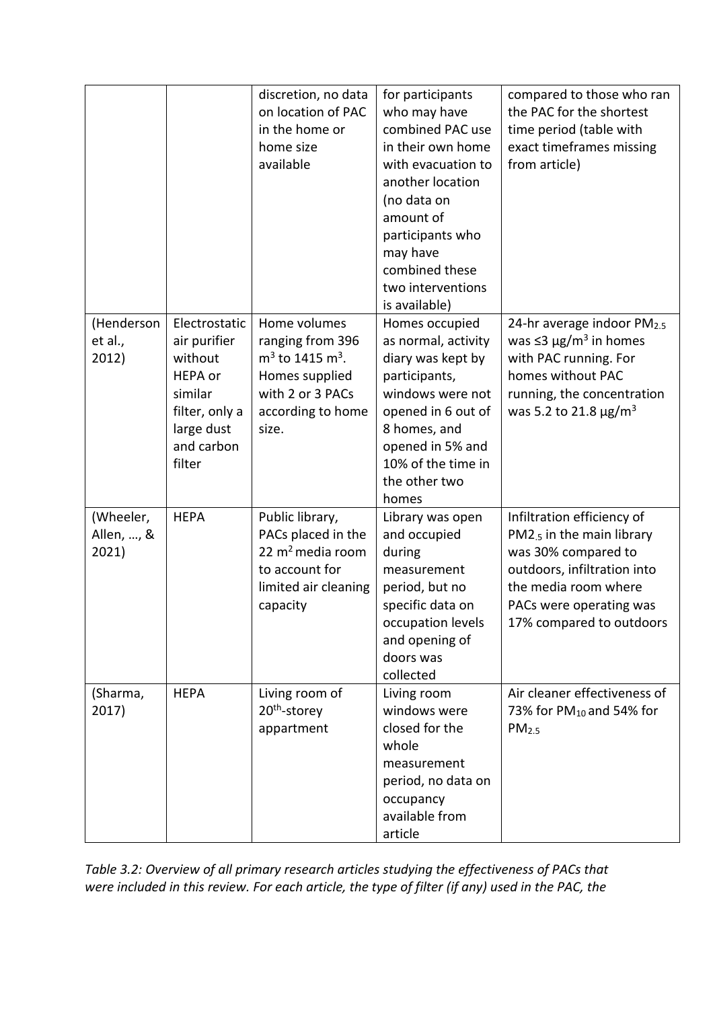|                                  |                                                                                                                        | discretion, no data<br>on location of PAC<br>in the home or<br>home size<br>available                                                 | for participants<br>who may have<br>combined PAC use<br>in their own home<br>with evacuation to<br>another location<br>(no data on<br>amount of<br>participants who<br>may have<br>combined these<br>two interventions<br>is available) | compared to those who ran<br>the PAC for the shortest<br>time period (table with<br>exact timeframes missing<br>from article)                                                                           |
|----------------------------------|------------------------------------------------------------------------------------------------------------------------|---------------------------------------------------------------------------------------------------------------------------------------|-----------------------------------------------------------------------------------------------------------------------------------------------------------------------------------------------------------------------------------------|---------------------------------------------------------------------------------------------------------------------------------------------------------------------------------------------------------|
| (Henderson<br>et al.,<br>2012)   | Electrostatic<br>air purifier<br>without<br>HEPA or<br>similar<br>filter, only a<br>large dust<br>and carbon<br>filter | Home volumes<br>ranging from 396<br>$m3$ to 1415 m <sup>3</sup> .<br>Homes supplied<br>with 2 or 3 PACs<br>according to home<br>size. | Homes occupied<br>as normal, activity<br>diary was kept by<br>participants,<br>windows were not<br>opened in 6 out of<br>8 homes, and<br>opened in 5% and<br>10% of the time in<br>the other two<br>homes                               | 24-hr average indoor PM <sub>2.5</sub><br>was $\leq$ 3 µg/m <sup>3</sup> in homes<br>with PAC running. For<br>homes without PAC<br>running, the concentration<br>was 5.2 to 21.8 $\mu$ g/m <sup>3</sup> |
| (Wheeler,<br>Allen, , &<br>2021) | <b>HEPA</b>                                                                                                            | Public library,<br>PACs placed in the<br>22 $m^2$ media room<br>to account for<br>limited air cleaning<br>capacity                    | Library was open<br>and occupied<br>during<br>measurement<br>period, but no<br>specific data on<br>occupation levels<br>and opening of<br>doors was<br>collected                                                                        | Infiltration efficiency of<br>PM2.5 in the main library<br>was 30% compared to<br>outdoors, infiltration into<br>the media room where<br>PACs were operating was<br>17% compared to outdoors            |
| (Sharma,<br>2017)                | <b>HEPA</b>                                                                                                            | Living room of<br>20 <sup>th</sup> -storey<br>appartment                                                                              | Living room<br>windows were<br>closed for the<br>whole<br>measurement<br>period, no data on<br>occupancy<br>available from<br>article                                                                                                   | Air cleaner effectiveness of<br>73% for PM <sub>10</sub> and 54% for<br>PM <sub>2.5</sub>                                                                                                               |

*Table 3.2: Overview of all primary research articles studying the effectiveness of PACs that were included in this review. For each article, the type of filter (if any) used in the PAC, the*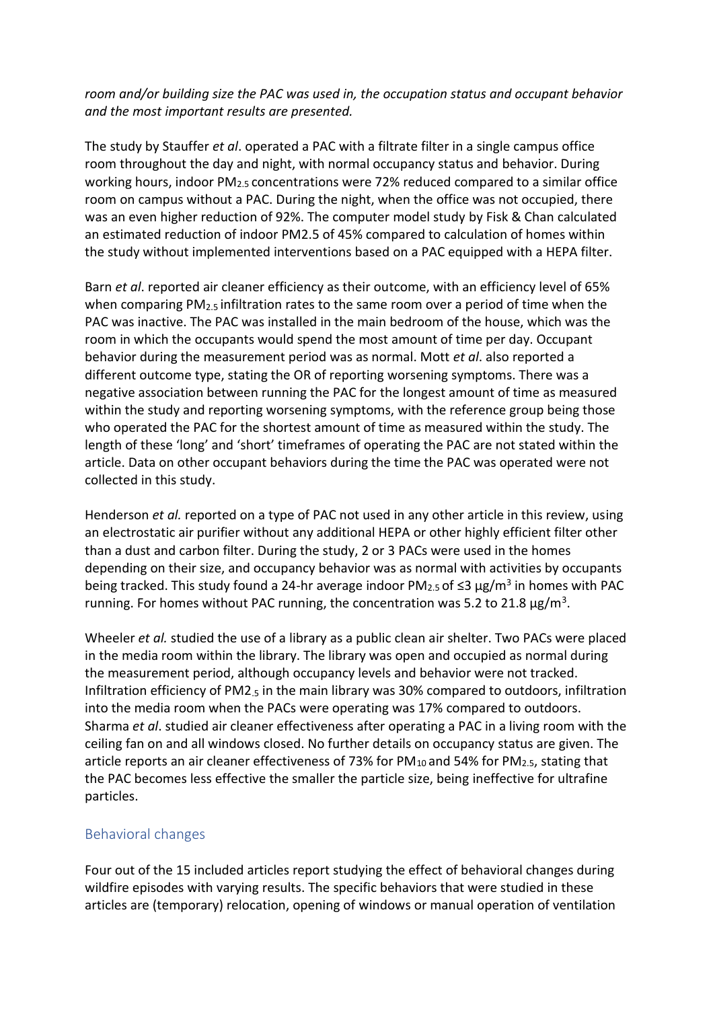*room and/or building size the PAC was used in, the occupation status and occupant behavior and the most important results are presented.* 

The study by Stauffer *et al*. operated a PAC with a filtrate filter in a single campus office room throughout the day and night, with normal occupancy status and behavior. During working hours, indoor  $PM_{2.5}$  concentrations were 72% reduced compared to a similar office room on campus without a PAC. During the night, when the office was not occupied, there was an even higher reduction of 92%. The computer model study by Fisk & Chan calculated an estimated reduction of indoor PM2.5 of 45% compared to calculation of homes within the study without implemented interventions based on a PAC equipped with a HEPA filter.

Barn *et al*. reported air cleaner efficiency as their outcome, with an efficiency level of 65% when comparing  $PM_{2.5}$  infiltration rates to the same room over a period of time when the PAC was inactive. The PAC was installed in the main bedroom of the house, which was the room in which the occupants would spend the most amount of time per day. Occupant behavior during the measurement period was as normal. Mott *et al*. also reported a different outcome type, stating the OR of reporting worsening symptoms. There was a negative association between running the PAC for the longest amount of time as measured within the study and reporting worsening symptoms, with the reference group being those who operated the PAC for the shortest amount of time as measured within the study. The length of these 'long' and 'short' timeframes of operating the PAC are not stated within the article. Data on other occupant behaviors during the time the PAC was operated were not collected in this study.

Henderson *et al.* reported on a type of PAC not used in any other article in this review, using an electrostatic air purifier without any additional HEPA or other highly efficient filter other than a dust and carbon filter. During the study, 2 or 3 PACs were used in the homes depending on their size, and occupancy behavior was as normal with activities by occupants being tracked. This study found a 24-hr average indoor PM<sub>2.5</sub> of ≤3 µg/m<sup>3</sup> in homes with PAC running. For homes without PAC running, the concentration was 5.2 to 21.8  $\mu$ g/m<sup>3</sup>.

Wheeler *et al.* studied the use of a library as a public clean air shelter. Two PACs were placed in the media room within the library. The library was open and occupied as normal during the measurement period, although occupancy levels and behavior were not tracked. Infiltration efficiency of PM2.5 in the main library was 30% compared to outdoors, infiltration into the media room when the PACs were operating was 17% compared to outdoors. Sharma *et al*. studied air cleaner effectiveness after operating a PAC in a living room with the ceiling fan on and all windows closed. No further details on occupancy status are given. The article reports an air cleaner effectiveness of 73% for  $PM_{10}$  and 54% for  $PM_{2.5}$ , stating that the PAC becomes less effective the smaller the particle size, being ineffective for ultrafine particles.

### <span id="page-14-0"></span>Behavioral changes

Four out of the 15 included articles report studying the effect of behavioral changes during wildfire episodes with varying results. The specific behaviors that were studied in these articles are (temporary) relocation, opening of windows or manual operation of ventilation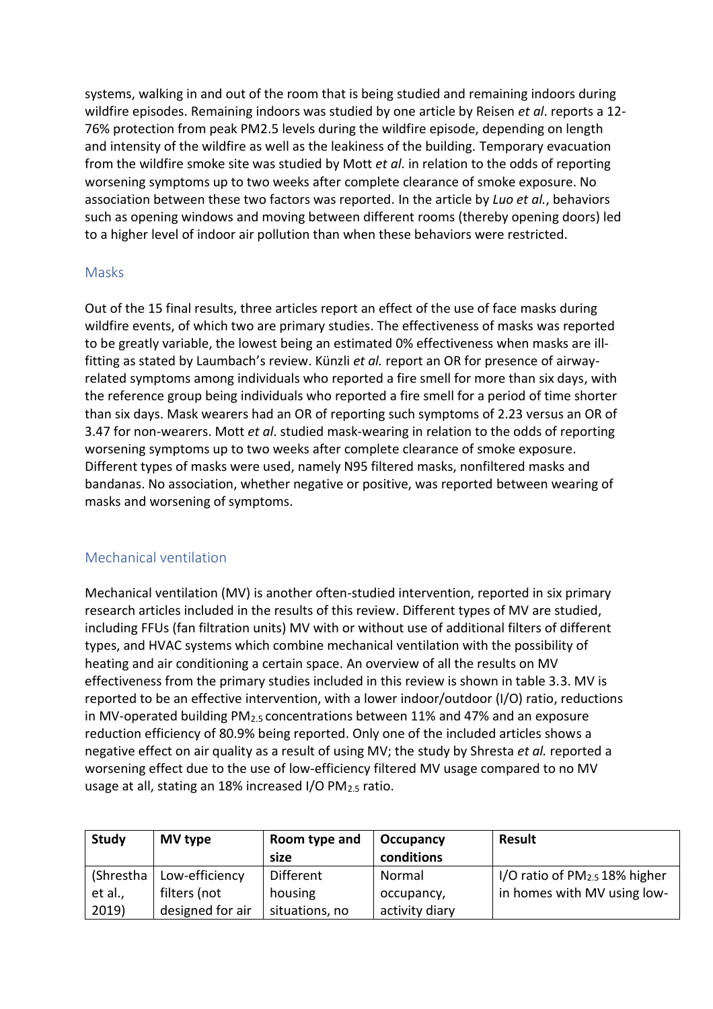systems, walking in and out of the room that is being studied and remaining indoors during wildfire episodes. Remaining indoors was studied by one article by Reisen *et al*. reports a 12- 76% protection from peak PM2.5 levels during the wildfire episode, depending on length and intensity of the wildfire as well as the leakiness of the building. Temporary evacuation from the wildfire smoke site was studied by Mott *et al*. in relation to the odds of reporting worsening symptoms up to two weeks after complete clearance of smoke exposure. No association between these two factors was reported. In the article by *Luo et al.*, behaviors such as opening windows and moving between different rooms (thereby opening doors) led to a higher level of indoor air pollution than when these behaviors were restricted.

#### <span id="page-15-0"></span>Masks

Out of the 15 final results, three articles report an effect of the use of face masks during wildfire events, of which two are primary studies. The effectiveness of masks was reported to be greatly variable, the lowest being an estimated 0% effectiveness when masks are illfitting as stated by Laumbach's review. Künzli *et al.* report an OR for presence of airwayrelated symptoms among individuals who reported a fire smell for more than six days, with the reference group being individuals who reported a fire smell for a period of time shorter than six days. Mask wearers had an OR of reporting such symptoms of 2.23 versus an OR of 3.47 for non-wearers. Mott *et al*. studied mask-wearing in relation to the odds of reporting worsening symptoms up to two weeks after complete clearance of smoke exposure. Different types of masks were used, namely N95 filtered masks, nonfiltered masks and bandanas. No association, whether negative or positive, was reported between wearing of masks and worsening of symptoms.

#### <span id="page-15-1"></span>Mechanical ventilation

Mechanical ventilation (MV) is another often-studied intervention, reported in six primary research articles included in the results of this review. Different types of MV are studied, including FFUs (fan filtration units) MV with or without use of additional filters of different types, and HVAC systems which combine mechanical ventilation with the possibility of heating and air conditioning a certain space. An overview of all the results on MV effectiveness from the primary studies included in this review is shown in table 3.3. MV is reported to be an effective intervention, with a lower indoor/outdoor (I/O) ratio, reductions in MV-operated building  $PM_{2.5}$  concentrations between 11% and 47% and an exposure reduction efficiency of 80.9% being reported. Only one of the included articles shows a negative effect on air quality as a result of using MV; the study by Shresta *et al.* reported a worsening effect due to the use of low-efficiency filtered MV usage compared to no MV usage at all, stating an 18% increased I/O PM2.5 ratio.

| Study     | MV type          | Room type and  | Occupancy      | Result                          |
|-----------|------------------|----------------|----------------|---------------------------------|
|           |                  | size           | conditions     |                                 |
| (Shrestha | Low-efficiency   | Different      | Normal         | I/O ratio of $PM2.5 18%$ higher |
| et al.,   | filters (not     | housing        | occupancy,     | in homes with MV using low-     |
| 2019)     | designed for air | situations, no | activity diary |                                 |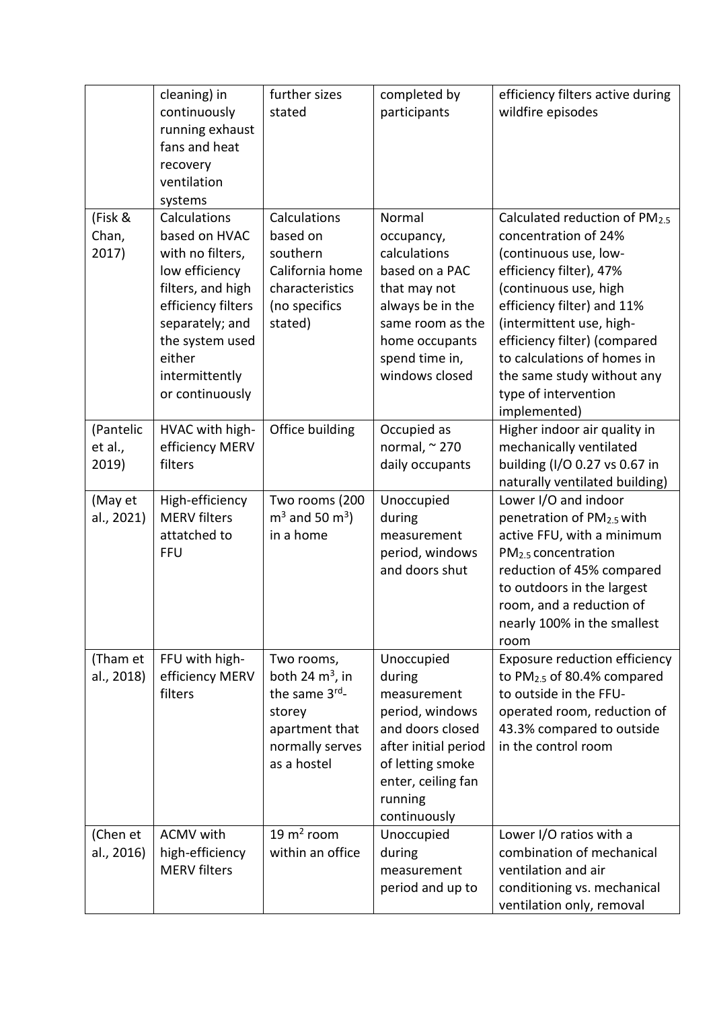|                               | cleaning) in<br>continuously<br>running exhaust<br>fans and heat<br>recovery<br>ventilation<br>systems                                                                                              | further sizes<br>stated                                                                                         | completed by<br>participants                                                                                                                                            | efficiency filters active during<br>wildfire episodes                                                                                                                                                                                                                                                                             |
|-------------------------------|-----------------------------------------------------------------------------------------------------------------------------------------------------------------------------------------------------|-----------------------------------------------------------------------------------------------------------------|-------------------------------------------------------------------------------------------------------------------------------------------------------------------------|-----------------------------------------------------------------------------------------------------------------------------------------------------------------------------------------------------------------------------------------------------------------------------------------------------------------------------------|
| (Fisk &<br>Chan,<br>2017)     | Calculations<br>based on HVAC<br>with no filters,<br>low efficiency<br>filters, and high<br>efficiency filters<br>separately; and<br>the system used<br>either<br>intermittently<br>or continuously | Calculations<br>based on<br>southern<br>California home<br>characteristics<br>(no specifics<br>stated)          | Normal<br>occupancy,<br>calculations<br>based on a PAC<br>that may not<br>always be in the<br>same room as the<br>home occupants<br>spend time in,<br>windows closed    | Calculated reduction of PM2.5<br>concentration of 24%<br>(continuous use, low-<br>efficiency filter), 47%<br>(continuous use, high<br>efficiency filter) and 11%<br>(intermittent use, high-<br>efficiency filter) (compared<br>to calculations of homes in<br>the same study without any<br>type of intervention<br>implemented) |
| (Pantelic<br>et al.,<br>2019) | HVAC with high-<br>efficiency MERV<br>filters                                                                                                                                                       | Office building                                                                                                 | Occupied as<br>normal, $\approx$ 270<br>daily occupants                                                                                                                 | Higher indoor air quality in<br>mechanically ventilated<br>building (I/O 0.27 vs 0.67 in<br>naturally ventilated building)                                                                                                                                                                                                        |
| (May et<br>al., 2021)         | High-efficiency<br><b>MERV</b> filters<br>attatched to<br><b>FFU</b>                                                                                                                                | Two rooms (200<br>$m3$ and 50 m <sup>3</sup> )<br>in a home                                                     | Unoccupied<br>during<br>measurement<br>period, windows<br>and doors shut                                                                                                | Lower I/O and indoor<br>penetration of PM2.5 with<br>active FFU, with a minimum<br>PM <sub>2.5</sub> concentration<br>reduction of 45% compared<br>to outdoors in the largest<br>room, and a reduction of<br>nearly 100% in the smallest<br>room                                                                                  |
| (Tham et<br>al., 2018)        | FFU with high-<br>efficiency MERV<br>filters                                                                                                                                                        | Two rooms,<br>both 24 $m^3$ , in<br>the same 3rd-<br>storey<br>apartment that<br>normally serves<br>as a hostel | Unoccupied<br>during<br>measurement<br>period, windows<br>and doors closed<br>after initial period<br>of letting smoke<br>enter, ceiling fan<br>running<br>continuously | Exposure reduction efficiency<br>to PM <sub>2.5</sub> of 80.4% compared<br>to outside in the FFU-<br>operated room, reduction of<br>43.3% compared to outside<br>in the control room                                                                                                                                              |
| (Chen et<br>al., 2016)        | <b>ACMV</b> with<br>high-efficiency<br><b>MERV</b> filters                                                                                                                                          | 19 $m2$ room<br>within an office                                                                                | Unoccupied<br>during<br>measurement<br>period and up to                                                                                                                 | Lower I/O ratios with a<br>combination of mechanical<br>ventilation and air<br>conditioning vs. mechanical<br>ventilation only, removal                                                                                                                                                                                           |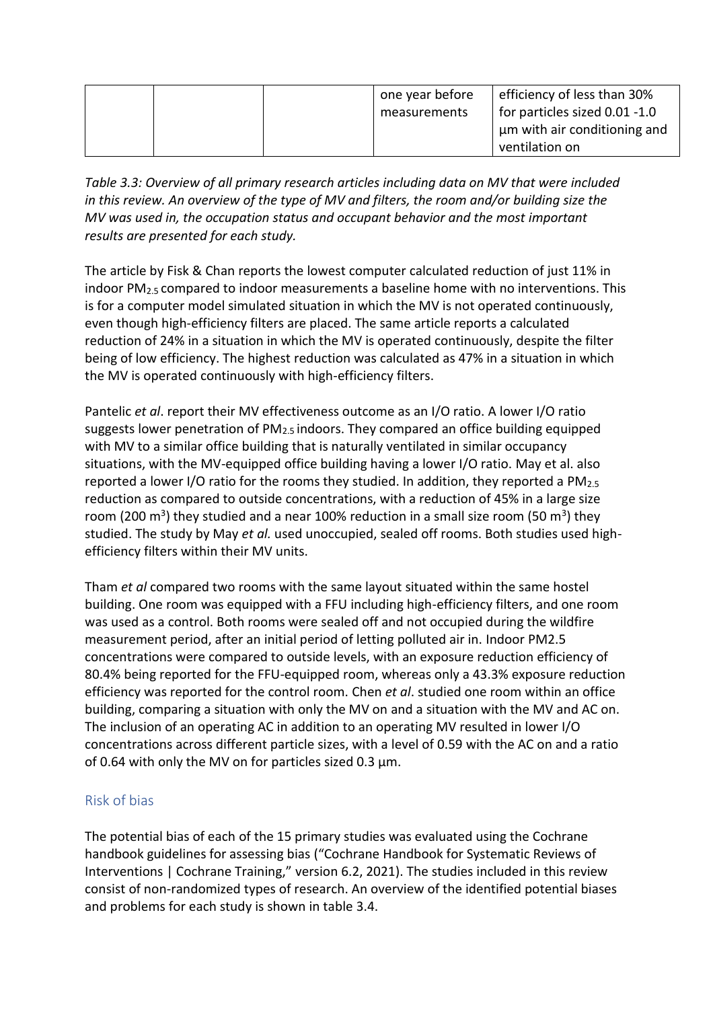|  | one year before<br>measurements | efficiency of less than 30%<br>for particles sized 0.01 -1.0 |
|--|---------------------------------|--------------------------------------------------------------|
|  |                                 | um with air conditioning and<br>ventilation on               |

*Table 3.3: Overview of all primary research articles including data on MV that were included in this review. An overview of the type of MV and filters, the room and/or building size the MV was used in, the occupation status and occupant behavior and the most important results are presented for each study.* 

The article by Fisk & Chan reports the lowest computer calculated reduction of just 11% in indoor  $PM<sub>2.5</sub>$  compared to indoor measurements a baseline home with no interventions. This is for a computer model simulated situation in which the MV is not operated continuously, even though high-efficiency filters are placed. The same article reports a calculated reduction of 24% in a situation in which the MV is operated continuously, despite the filter being of low efficiency. The highest reduction was calculated as 47% in a situation in which the MV is operated continuously with high-efficiency filters.

Pantelic *et al*. report their MV effectiveness outcome as an I/O ratio. A lower I/O ratio suggests lower penetration of PM<sub>2.5</sub> indoors. They compared an office building equipped with MV to a similar office building that is naturally ventilated in similar occupancy situations, with the MV-equipped office building having a lower I/O ratio. May et al. also reported a lower I/O ratio for the rooms they studied. In addition, they reported a PM2.5 reduction as compared to outside concentrations, with a reduction of 45% in a large size room (200 m<sup>3</sup>) they studied and a near 100% reduction in a small size room (50 m<sup>3</sup>) they studied. The study by May *et al.* used unoccupied, sealed off rooms. Both studies used highefficiency filters within their MV units.

Tham *et al* compared two rooms with the same layout situated within the same hostel building. One room was equipped with a FFU including high-efficiency filters, and one room was used as a control. Both rooms were sealed off and not occupied during the wildfire measurement period, after an initial period of letting polluted air in. Indoor PM2.5 concentrations were compared to outside levels, with an exposure reduction efficiency of 80.4% being reported for the FFU-equipped room, whereas only a 43.3% exposure reduction efficiency was reported for the control room. Chen *et al*. studied one room within an office building, comparing a situation with only the MV on and a situation with the MV and AC on. The inclusion of an operating AC in addition to an operating MV resulted in lower I/O concentrations across different particle sizes, with a level of 0.59 with the AC on and a ratio of 0.64 with only the MV on for particles sized 0.3 µm.

#### <span id="page-17-0"></span>Risk of bias

The potential bias of each of the 15 primary studies was evaluated using the Cochrane handbook guidelines for assessing bias ("Cochrane Handbook for Systematic Reviews of Interventions | Cochrane Training," version 6.2, 2021). The studies included in this review consist of non-randomized types of research. An overview of the identified potential biases and problems for each study is shown in table 3.4.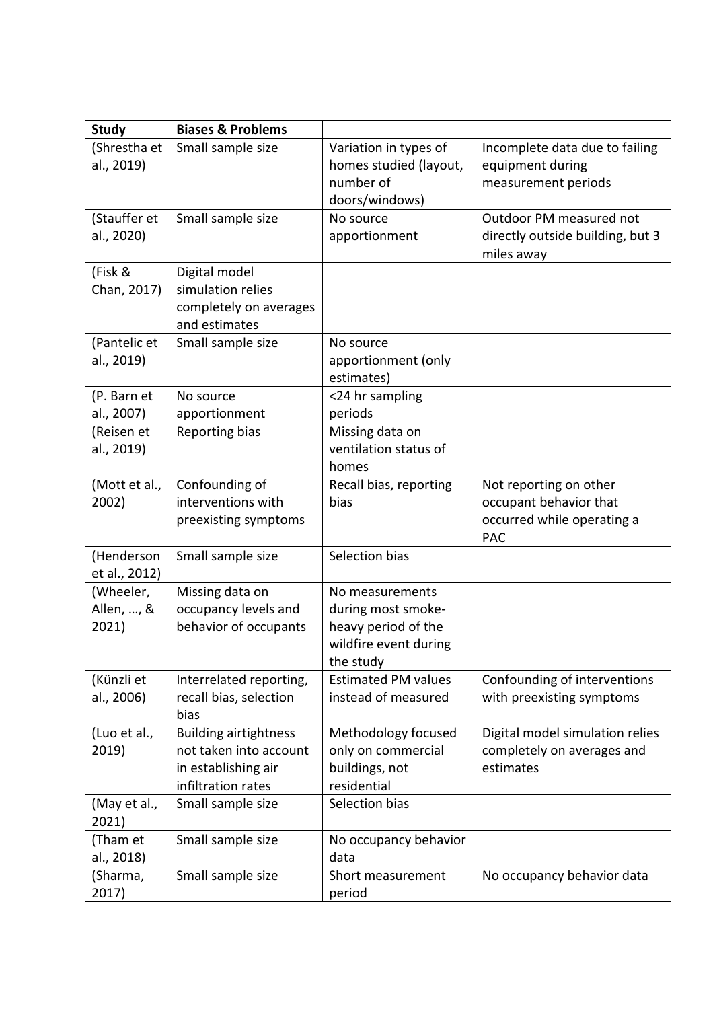| <b>Study</b>          | <b>Biases &amp; Problems</b>                           |                                           |                                                               |
|-----------------------|--------------------------------------------------------|-------------------------------------------|---------------------------------------------------------------|
| (Shrestha et          | Small sample size                                      | Variation in types of                     | Incomplete data due to failing                                |
| al., 2019)            |                                                        | homes studied (layout,                    | equipment during                                              |
|                       |                                                        | number of                                 | measurement periods                                           |
|                       |                                                        | doors/windows)                            |                                                               |
| (Stauffer et          | Small sample size                                      | No source                                 | Outdoor PM measured not                                       |
| al., 2020)            |                                                        | apportionment                             | directly outside building, but 3                              |
|                       |                                                        |                                           | miles away                                                    |
| (Fisk &               | Digital model                                          |                                           |                                                               |
| Chan, 2017)           | simulation relies                                      |                                           |                                                               |
|                       | completely on averages<br>and estimates                |                                           |                                                               |
| (Pantelic et          | Small sample size                                      | No source                                 |                                                               |
| al., 2019)            |                                                        | apportionment (only                       |                                                               |
|                       |                                                        | estimates)                                |                                                               |
| (P. Barn et           | No source                                              | <24 hr sampling                           |                                                               |
| al., 2007)            | apportionment                                          | periods                                   |                                                               |
| (Reisen et            | <b>Reporting bias</b>                                  | Missing data on                           |                                                               |
| al., 2019)            |                                                        | ventilation status of                     |                                                               |
|                       |                                                        | homes                                     |                                                               |
| (Mott et al.,         | Confounding of                                         | Recall bias, reporting                    | Not reporting on other                                        |
| 2002)                 | interventions with                                     | bias                                      | occupant behavior that                                        |
|                       | preexisting symptoms                                   |                                           | occurred while operating a<br><b>PAC</b>                      |
| (Henderson            | Small sample size                                      | Selection bias                            |                                                               |
| et al., 2012)         |                                                        |                                           |                                                               |
| (Wheeler,             | Missing data on                                        | No measurements                           |                                                               |
| Allen, , &            | occupancy levels and                                   | during most smoke-                        |                                                               |
| 2021)                 | behavior of occupants                                  | heavy period of the                       |                                                               |
|                       |                                                        | wildfire event during                     |                                                               |
|                       |                                                        | the study                                 |                                                               |
| (Künzli et            | Interrelated reporting,                                | <b>Estimated PM values</b>                | Confounding of interventions                                  |
| al., 2006)            | recall bias, selection                                 | instead of measured                       | with preexisting symptoms                                     |
|                       | bias                                                   |                                           |                                                               |
| (Luo et al.,<br>2019) | <b>Building airtightness</b><br>not taken into account | Methodology focused<br>only on commercial | Digital model simulation relies<br>completely on averages and |
|                       | in establishing air                                    | buildings, not                            | estimates                                                     |
|                       | infiltration rates                                     | residential                               |                                                               |
| (May et al.,          | Small sample size                                      | Selection bias                            |                                                               |
| 2021)                 |                                                        |                                           |                                                               |
| (Tham et              | Small sample size                                      | No occupancy behavior                     |                                                               |
| al., 2018)            |                                                        | data                                      |                                                               |
| (Sharma,              | Small sample size                                      | Short measurement                         | No occupancy behavior data                                    |
| 2017)                 |                                                        | period                                    |                                                               |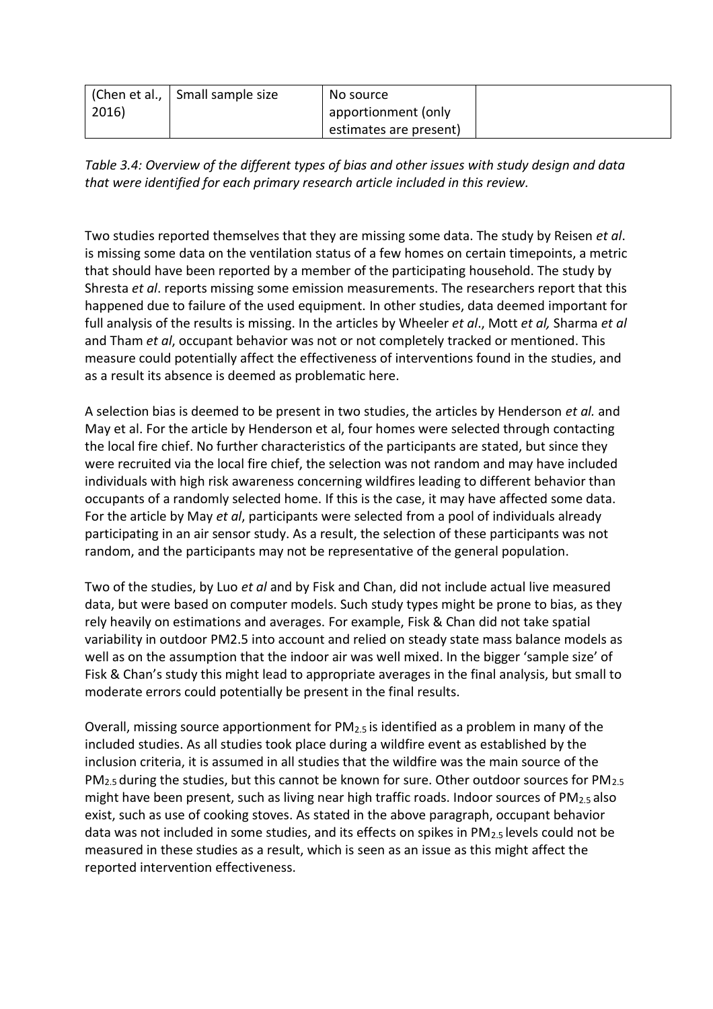|       | (Chen et al.,   Small sample size | No source              |  |
|-------|-----------------------------------|------------------------|--|
| 2016) |                                   | apportionment (only    |  |
|       |                                   | estimates are present) |  |

*Table 3.4: Overview of the different types of bias and other issues with study design and data that were identified for each primary research article included in this review.* 

Two studies reported themselves that they are missing some data. The study by Reisen *et al*. is missing some data on the ventilation status of a few homes on certain timepoints, a metric that should have been reported by a member of the participating household. The study by Shresta *et al*. reports missing some emission measurements. The researchers report that this happened due to failure of the used equipment. In other studies, data deemed important for full analysis of the results is missing. In the articles by Wheeler *et al*., Mott *et al,* Sharma *et al* and Tham *et al*, occupant behavior was not or not completely tracked or mentioned. This measure could potentially affect the effectiveness of interventions found in the studies, and as a result its absence is deemed as problematic here.

A selection bias is deemed to be present in two studies, the articles by Henderson *et al.* and May et al. For the article by Henderson et al, four homes were selected through contacting the local fire chief. No further characteristics of the participants are stated, but since they were recruited via the local fire chief, the selection was not random and may have included individuals with high risk awareness concerning wildfires leading to different behavior than occupants of a randomly selected home. If this is the case, it may have affected some data. For the article by May *et al*, participants were selected from a pool of individuals already participating in an air sensor study. As a result, the selection of these participants was not random, and the participants may not be representative of the general population.

Two of the studies, by Luo *et al* and by Fisk and Chan, did not include actual live measured data, but were based on computer models. Such study types might be prone to bias, as they rely heavily on estimations and averages. For example, Fisk & Chan did not take spatial variability in outdoor PM2.5 into account and relied on steady state mass balance models as well as on the assumption that the indoor air was well mixed. In the bigger 'sample size' of Fisk & Chan's study this might lead to appropriate averages in the final analysis, but small to moderate errors could potentially be present in the final results.

Overall, missing source apportionment for PM2.5 is identified as a problem in many of the included studies. As all studies took place during a wildfire event as established by the inclusion criteria, it is assumed in all studies that the wildfire was the main source of the PM<sub>2.5</sub> during the studies, but this cannot be known for sure. Other outdoor sources for PM<sub>2.5</sub> might have been present, such as living near high traffic roads. Indoor sources of  $PM_{2.5}$  also exist, such as use of cooking stoves. As stated in the above paragraph, occupant behavior data was not included in some studies, and its effects on spikes in  $PM_{2.5}$  levels could not be measured in these studies as a result, which is seen as an issue as this might affect the reported intervention effectiveness.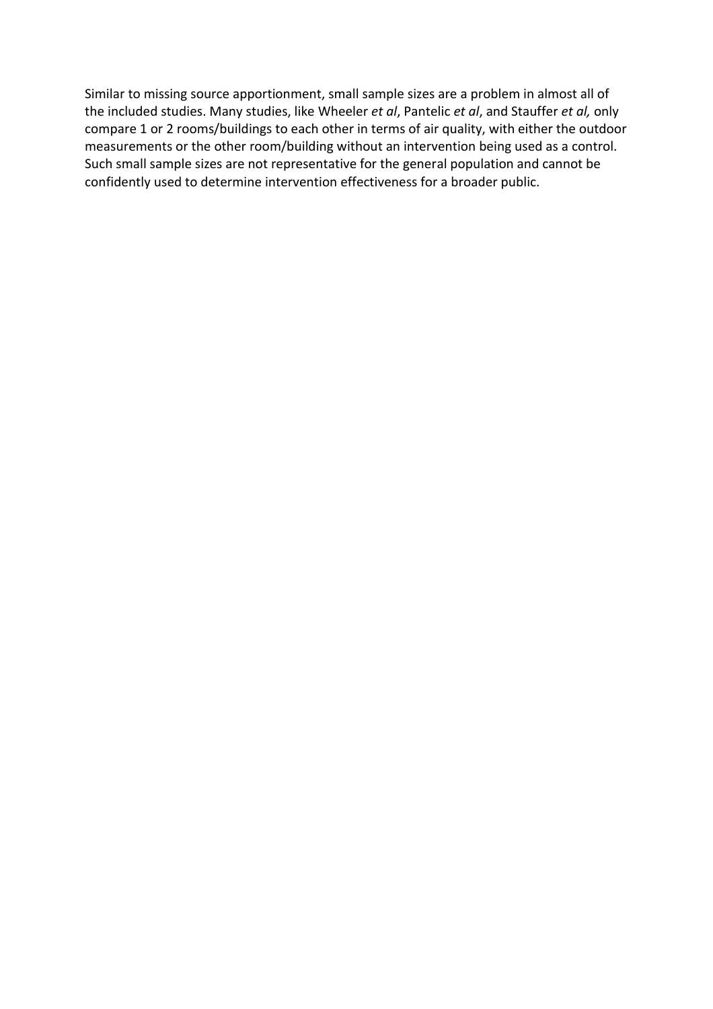Similar to missing source apportionment, small sample sizes are a problem in almost all of the included studies. Many studies, like Wheeler *et al*, Pantelic *et al*, and Stauffer *et al,* only compare 1 or 2 rooms/buildings to each other in terms of air quality, with either the outdoor measurements or the other room/building without an intervention being used as a control. Such small sample sizes are not representative for the general population and cannot be confidently used to determine intervention effectiveness for a broader public.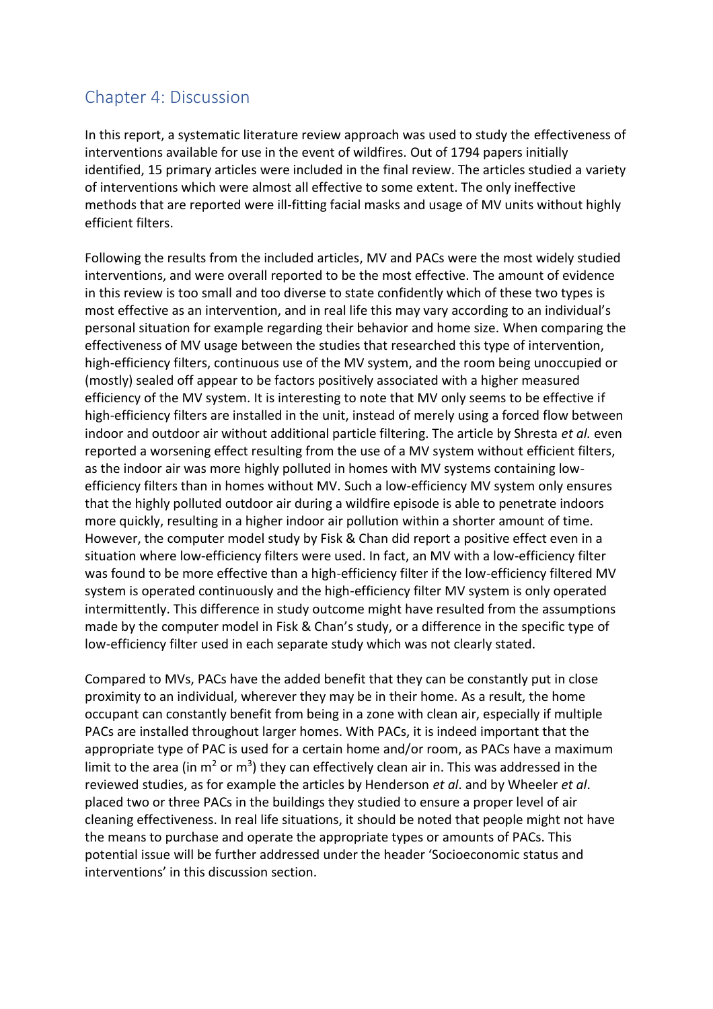# <span id="page-21-0"></span>Chapter 4: Discussion

In this report, a systematic literature review approach was used to study the effectiveness of interventions available for use in the event of wildfires. Out of 1794 papers initially identified, 15 primary articles were included in the final review. The articles studied a variety of interventions which were almost all effective to some extent. The only ineffective methods that are reported were ill-fitting facial masks and usage of MV units without highly efficient filters.

Following the results from the included articles, MV and PACs were the most widely studied interventions, and were overall reported to be the most effective. The amount of evidence in this review is too small and too diverse to state confidently which of these two types is most effective as an intervention, and in real life this may vary according to an individual's personal situation for example regarding their behavior and home size. When comparing the effectiveness of MV usage between the studies that researched this type of intervention, high-efficiency filters, continuous use of the MV system, and the room being unoccupied or (mostly) sealed off appear to be factors positively associated with a higher measured efficiency of the MV system. It is interesting to note that MV only seems to be effective if high-efficiency filters are installed in the unit, instead of merely using a forced flow between indoor and outdoor air without additional particle filtering. The article by Shresta *et al.* even reported a worsening effect resulting from the use of a MV system without efficient filters, as the indoor air was more highly polluted in homes with MV systems containing lowefficiency filters than in homes without MV. Such a low-efficiency MV system only ensures that the highly polluted outdoor air during a wildfire episode is able to penetrate indoors more quickly, resulting in a higher indoor air pollution within a shorter amount of time. However, the computer model study by Fisk & Chan did report a positive effect even in a situation where low-efficiency filters were used. In fact, an MV with a low-efficiency filter was found to be more effective than a high-efficiency filter if the low-efficiency filtered MV system is operated continuously and the high-efficiency filter MV system is only operated intermittently. This difference in study outcome might have resulted from the assumptions made by the computer model in Fisk & Chan's study, or a difference in the specific type of low-efficiency filter used in each separate study which was not clearly stated.

Compared to MVs, PACs have the added benefit that they can be constantly put in close proximity to an individual, wherever they may be in their home. As a result, the home occupant can constantly benefit from being in a zone with clean air, especially if multiple PACs are installed throughout larger homes. With PACs, it is indeed important that the appropriate type of PAC is used for a certain home and/or room, as PACs have a maximum limit to the area (in m<sup>2</sup> or m<sup>3</sup>) they can effectively clean air in. This was addressed in the reviewed studies, as for example the articles by Henderson *et al*. and by Wheeler *et al*. placed two or three PACs in the buildings they studied to ensure a proper level of air cleaning effectiveness. In real life situations, it should be noted that people might not have the means to purchase and operate the appropriate types or amounts of PACs. This potential issue will be further addressed under the header 'Socioeconomic status and interventions' in this discussion section.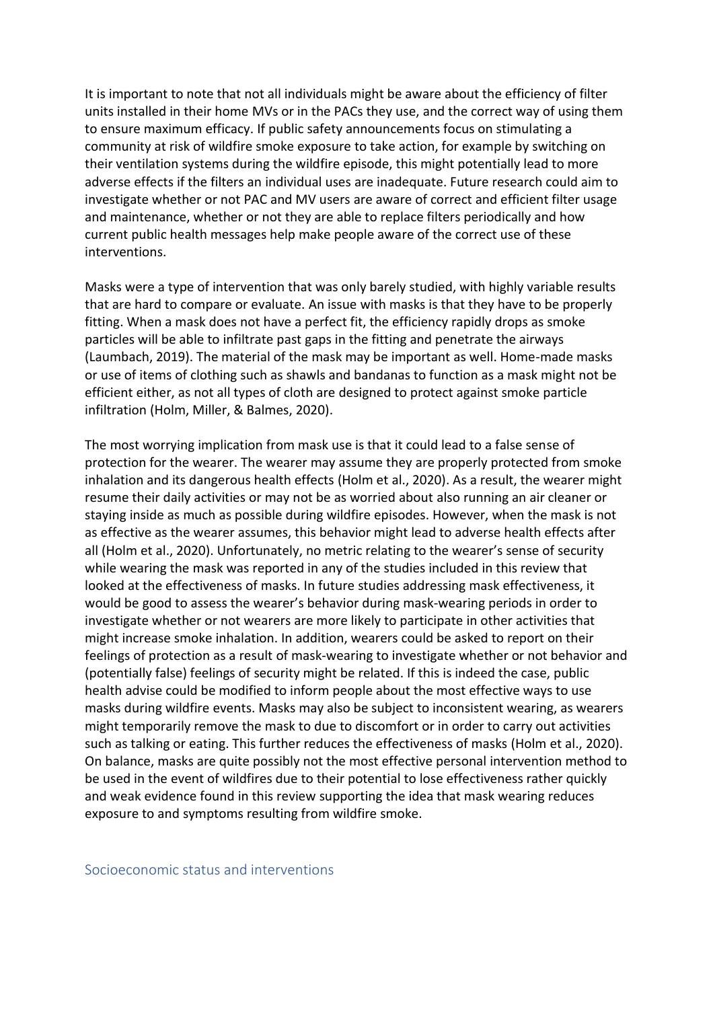It is important to note that not all individuals might be aware about the efficiency of filter units installed in their home MVs or in the PACs they use, and the correct way of using them to ensure maximum efficacy. If public safety announcements focus on stimulating a community at risk of wildfire smoke exposure to take action, for example by switching on their ventilation systems during the wildfire episode, this might potentially lead to more adverse effects if the filters an individual uses are inadequate. Future research could aim to investigate whether or not PAC and MV users are aware of correct and efficient filter usage and maintenance, whether or not they are able to replace filters periodically and how current public health messages help make people aware of the correct use of these interventions.

Masks were a type of intervention that was only barely studied, with highly variable results that are hard to compare or evaluate. An issue with masks is that they have to be properly fitting. When a mask does not have a perfect fit, the efficiency rapidly drops as smoke particles will be able to infiltrate past gaps in the fitting and penetrate the airways (Laumbach, 2019). The material of the mask may be important as well. Home-made masks or use of items of clothing such as shawls and bandanas to function as a mask might not be efficient either, as not all types of cloth are designed to protect against smoke particle infiltration (Holm, Miller, & Balmes, 2020).

The most worrying implication from mask use is that it could lead to a false sense of protection for the wearer. The wearer may assume they are properly protected from smoke inhalation and its dangerous health effects (Holm et al., 2020). As a result, the wearer might resume their daily activities or may not be as worried about also running an air cleaner or staying inside as much as possible during wildfire episodes. However, when the mask is not as effective as the wearer assumes, this behavior might lead to adverse health effects after all (Holm et al., 2020). Unfortunately, no metric relating to the wearer's sense of security while wearing the mask was reported in any of the studies included in this review that looked at the effectiveness of masks. In future studies addressing mask effectiveness, it would be good to assess the wearer's behavior during mask-wearing periods in order to investigate whether or not wearers are more likely to participate in other activities that might increase smoke inhalation. In addition, wearers could be asked to report on their feelings of protection as a result of mask-wearing to investigate whether or not behavior and (potentially false) feelings of security might be related. If this is indeed the case, public health advise could be modified to inform people about the most effective ways to use masks during wildfire events. Masks may also be subject to inconsistent wearing, as wearers might temporarily remove the mask to due to discomfort or in order to carry out activities such as talking or eating. This further reduces the effectiveness of masks (Holm et al., 2020). On balance, masks are quite possibly not the most effective personal intervention method to be used in the event of wildfires due to their potential to lose effectiveness rather quickly and weak evidence found in this review supporting the idea that mask wearing reduces exposure to and symptoms resulting from wildfire smoke.

<span id="page-22-0"></span>Socioeconomic status and interventions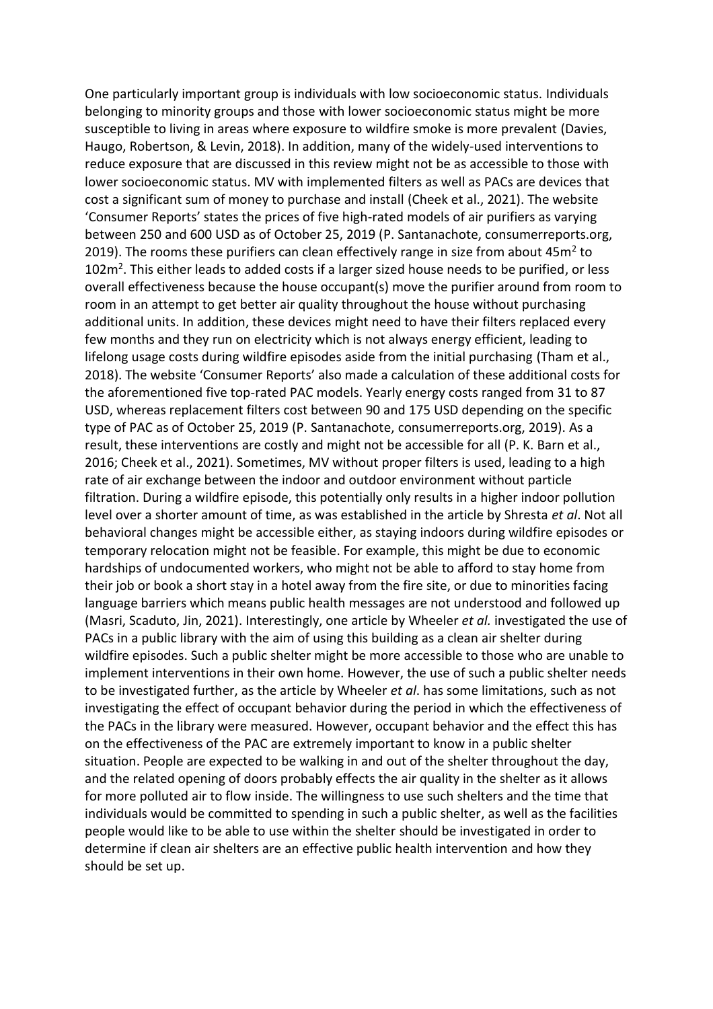One particularly important group is individuals with low socioeconomic status. Individuals belonging to minority groups and those with lower socioeconomic status might be more susceptible to living in areas where exposure to wildfire smoke is more prevalent (Davies, Haugo, Robertson, & Levin, 2018). In addition, many of the widely-used interventions to reduce exposure that are discussed in this review might not be as accessible to those with lower socioeconomic status. MV with implemented filters as well as PACs are devices that cost a significant sum of money to purchase and install (Cheek et al., 2021). The website 'Consumer Reports' states the prices of five high-rated models of air purifiers as varying between 250 and 600 USD as of October 25, 2019 (P. Santanachote, consumerreports.org, 2019). The rooms these purifiers can clean effectively range in size from about 45 $m^2$  to 102m<sup>2</sup>. This either leads to added costs if a larger sized house needs to be purified, or less overall effectiveness because the house occupant(s) move the purifier around from room to room in an attempt to get better air quality throughout the house without purchasing additional units. In addition, these devices might need to have their filters replaced every few months and they run on electricity which is not always energy efficient, leading to lifelong usage costs during wildfire episodes aside from the initial purchasing (Tham et al., 2018). The website 'Consumer Reports' also made a calculation of these additional costs for the aforementioned five top-rated PAC models. Yearly energy costs ranged from 31 to 87 USD, whereas replacement filters cost between 90 and 175 USD depending on the specific type of PAC as of October 25, 2019 (P. Santanachote, consumerreports.org, 2019). As a result, these interventions are costly and might not be accessible for all (P. K. Barn et al., 2016; Cheek et al., 2021). Sometimes, MV without proper filters is used, leading to a high rate of air exchange between the indoor and outdoor environment without particle filtration. During a wildfire episode, this potentially only results in a higher indoor pollution level over a shorter amount of time, as was established in the article by Shresta *et al*. Not all behavioral changes might be accessible either, as staying indoors during wildfire episodes or temporary relocation might not be feasible. For example, this might be due to economic hardships of undocumented workers, who might not be able to afford to stay home from their job or book a short stay in a hotel away from the fire site, or due to minorities facing language barriers which means public health messages are not understood and followed up (Masri, Scaduto, Jin, 2021). Interestingly, one article by Wheeler *et al.* investigated the use of PACs in a public library with the aim of using this building as a clean air shelter during wildfire episodes. Such a public shelter might be more accessible to those who are unable to implement interventions in their own home. However, the use of such a public shelter needs to be investigated further, as the article by Wheeler *et al*. has some limitations, such as not investigating the effect of occupant behavior during the period in which the effectiveness of the PACs in the library were measured. However, occupant behavior and the effect this has on the effectiveness of the PAC are extremely important to know in a public shelter situation. People are expected to be walking in and out of the shelter throughout the day, and the related opening of doors probably effects the air quality in the shelter as it allows for more polluted air to flow inside. The willingness to use such shelters and the time that individuals would be committed to spending in such a public shelter, as well as the facilities people would like to be able to use within the shelter should be investigated in order to determine if clean air shelters are an effective public health intervention and how they should be set up.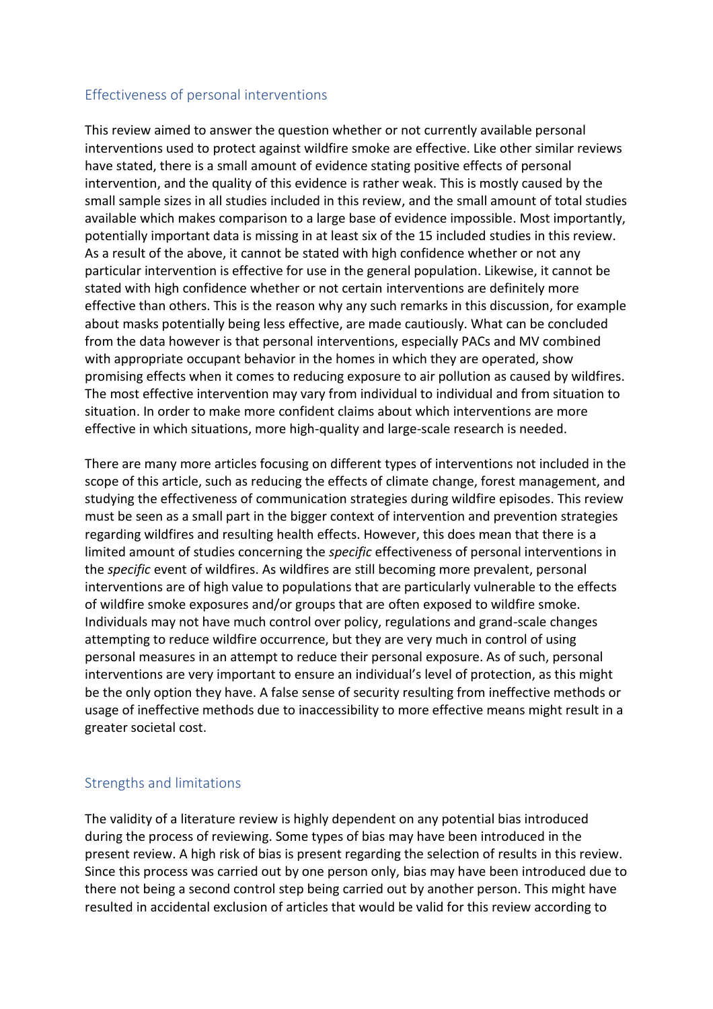#### <span id="page-24-0"></span>Effectiveness of personal interventions

This review aimed to answer the question whether or not currently available personal interventions used to protect against wildfire smoke are effective. Like other similar reviews have stated, there is a small amount of evidence stating positive effects of personal intervention, and the quality of this evidence is rather weak. This is mostly caused by the small sample sizes in all studies included in this review, and the small amount of total studies available which makes comparison to a large base of evidence impossible. Most importantly, potentially important data is missing in at least six of the 15 included studies in this review. As a result of the above, it cannot be stated with high confidence whether or not any particular intervention is effective for use in the general population. Likewise, it cannot be stated with high confidence whether or not certain interventions are definitely more effective than others. This is the reason why any such remarks in this discussion, for example about masks potentially being less effective, are made cautiously. What can be concluded from the data however is that personal interventions, especially PACs and MV combined with appropriate occupant behavior in the homes in which they are operated, show promising effects when it comes to reducing exposure to air pollution as caused by wildfires. The most effective intervention may vary from individual to individual and from situation to situation. In order to make more confident claims about which interventions are more effective in which situations, more high-quality and large-scale research is needed.

There are many more articles focusing on different types of interventions not included in the scope of this article, such as reducing the effects of climate change, forest management, and studying the effectiveness of communication strategies during wildfire episodes. This review must be seen as a small part in the bigger context of intervention and prevention strategies regarding wildfires and resulting health effects. However, this does mean that there is a limited amount of studies concerning the *specific* effectiveness of personal interventions in the *specific* event of wildfires. As wildfires are still becoming more prevalent, personal interventions are of high value to populations that are particularly vulnerable to the effects of wildfire smoke exposures and/or groups that are often exposed to wildfire smoke. Individuals may not have much control over policy, regulations and grand-scale changes attempting to reduce wildfire occurrence, but they are very much in control of using personal measures in an attempt to reduce their personal exposure. As of such, personal interventions are very important to ensure an individual's level of protection, as this might be the only option they have. A false sense of security resulting from ineffective methods or usage of ineffective methods due to inaccessibility to more effective means might result in a greater societal cost.

### <span id="page-24-1"></span>Strengths and limitations

The validity of a literature review is highly dependent on any potential bias introduced during the process of reviewing. Some types of bias may have been introduced in the present review. A high risk of bias is present regarding the selection of results in this review. Since this process was carried out by one person only, bias may have been introduced due to there not being a second control step being carried out by another person. This might have resulted in accidental exclusion of articles that would be valid for this review according to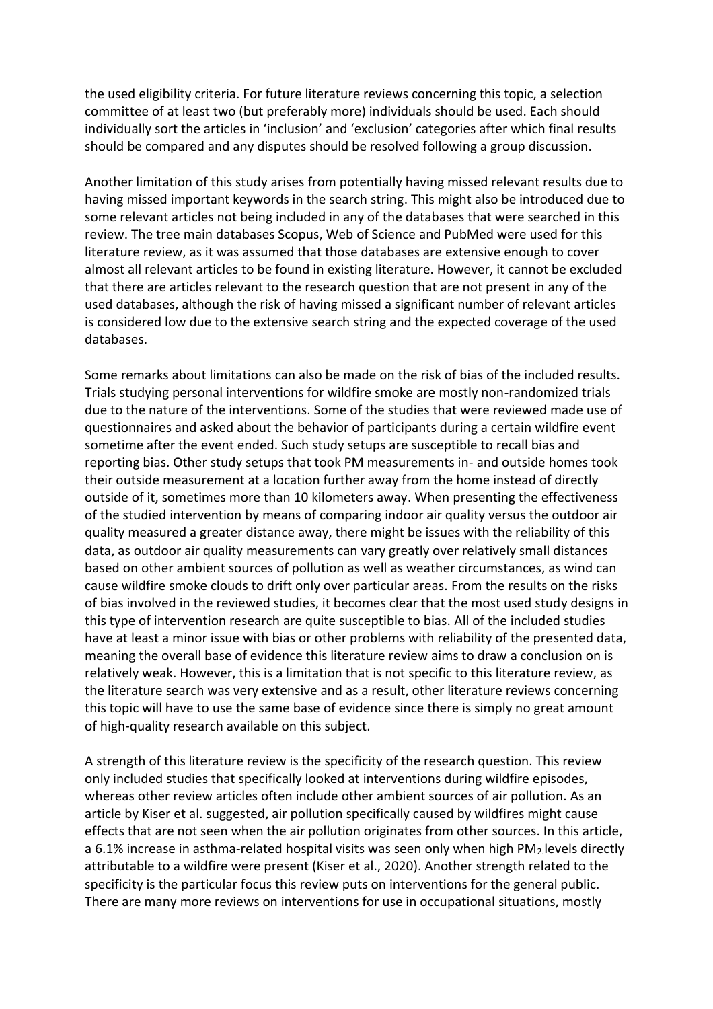the used eligibility criteria. For future literature reviews concerning this topic, a selection committee of at least two (but preferably more) individuals should be used. Each should individually sort the articles in 'inclusion' and 'exclusion' categories after which final results should be compared and any disputes should be resolved following a group discussion.

Another limitation of this study arises from potentially having missed relevant results due to having missed important keywords in the search string. This might also be introduced due to some relevant articles not being included in any of the databases that were searched in this review. The tree main databases Scopus, Web of Science and PubMed were used for this literature review, as it was assumed that those databases are extensive enough to cover almost all relevant articles to be found in existing literature. However, it cannot be excluded that there are articles relevant to the research question that are not present in any of the used databases, although the risk of having missed a significant number of relevant articles is considered low due to the extensive search string and the expected coverage of the used databases.

Some remarks about limitations can also be made on the risk of bias of the included results. Trials studying personal interventions for wildfire smoke are mostly non-randomized trials due to the nature of the interventions. Some of the studies that were reviewed made use of questionnaires and asked about the behavior of participants during a certain wildfire event sometime after the event ended. Such study setups are susceptible to recall bias and reporting bias. Other study setups that took PM measurements in- and outside homes took their outside measurement at a location further away from the home instead of directly outside of it, sometimes more than 10 kilometers away. When presenting the effectiveness of the studied intervention by means of comparing indoor air quality versus the outdoor air quality measured a greater distance away, there might be issues with the reliability of this data, as outdoor air quality measurements can vary greatly over relatively small distances based on other ambient sources of pollution as well as weather circumstances, as wind can cause wildfire smoke clouds to drift only over particular areas. From the results on the risks of bias involved in the reviewed studies, it becomes clear that the most used study designs in this type of intervention research are quite susceptible to bias. All of the included studies have at least a minor issue with bias or other problems with reliability of the presented data, meaning the overall base of evidence this literature review aims to draw a conclusion on is relatively weak. However, this is a limitation that is not specific to this literature review, as the literature search was very extensive and as a result, other literature reviews concerning this topic will have to use the same base of evidence since there is simply no great amount of high-quality research available on this subject.

A strength of this literature review is the specificity of the research question. This review only included studies that specifically looked at interventions during wildfire episodes, whereas other review articles often include other ambient sources of air pollution. As an article by Kiser et al. suggested, air pollution specifically caused by wildfires might cause effects that are not seen when the air pollution originates from other sources. In this article, a 6.1% increase in asthma-related hospital visits was seen only when high PM<sub>2</sub> levels directly attributable to a wildfire were present (Kiser et al., 2020). Another strength related to the specificity is the particular focus this review puts on interventions for the general public. There are many more reviews on interventions for use in occupational situations, mostly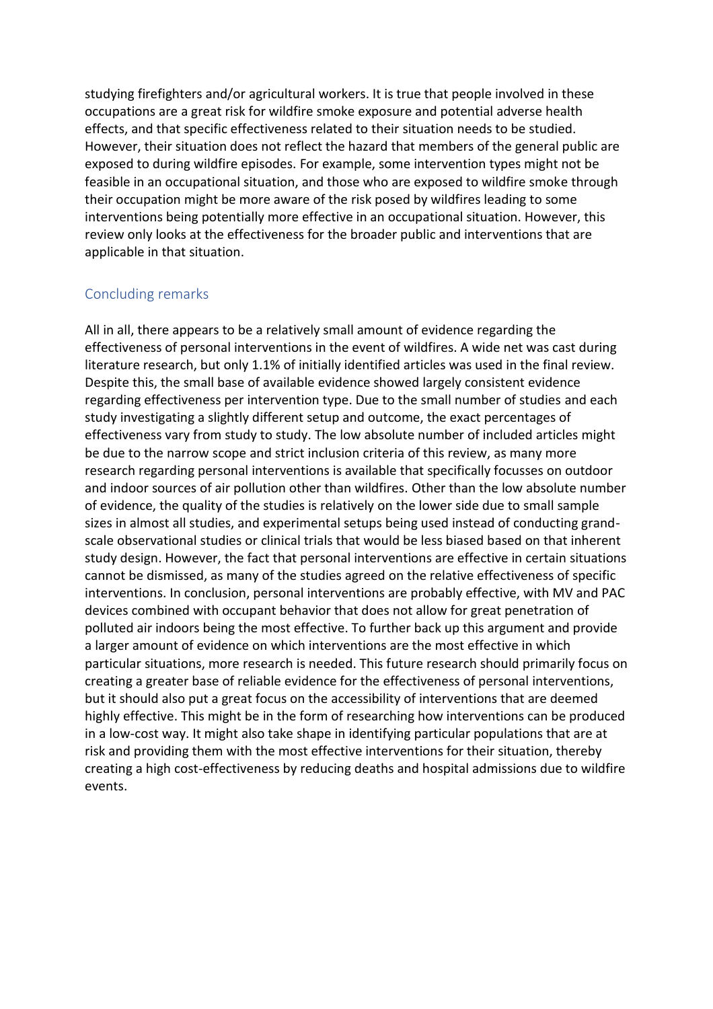studying firefighters and/or agricultural workers. It is true that people involved in these occupations are a great risk for wildfire smoke exposure and potential adverse health effects, and that specific effectiveness related to their situation needs to be studied. However, their situation does not reflect the hazard that members of the general public are exposed to during wildfire episodes. For example, some intervention types might not be feasible in an occupational situation, and those who are exposed to wildfire smoke through their occupation might be more aware of the risk posed by wildfires leading to some interventions being potentially more effective in an occupational situation. However, this review only looks at the effectiveness for the broader public and interventions that are applicable in that situation.

### <span id="page-26-0"></span>Concluding remarks

All in all, there appears to be a relatively small amount of evidence regarding the effectiveness of personal interventions in the event of wildfires. A wide net was cast during literature research, but only 1.1% of initially identified articles was used in the final review. Despite this, the small base of available evidence showed largely consistent evidence regarding effectiveness per intervention type. Due to the small number of studies and each study investigating a slightly different setup and outcome, the exact percentages of effectiveness vary from study to study. The low absolute number of included articles might be due to the narrow scope and strict inclusion criteria of this review, as many more research regarding personal interventions is available that specifically focusses on outdoor and indoor sources of air pollution other than wildfires. Other than the low absolute number of evidence, the quality of the studies is relatively on the lower side due to small sample sizes in almost all studies, and experimental setups being used instead of conducting grandscale observational studies or clinical trials that would be less biased based on that inherent study design. However, the fact that personal interventions are effective in certain situations cannot be dismissed, as many of the studies agreed on the relative effectiveness of specific interventions. In conclusion, personal interventions are probably effective, with MV and PAC devices combined with occupant behavior that does not allow for great penetration of polluted air indoors being the most effective. To further back up this argument and provide a larger amount of evidence on which interventions are the most effective in which particular situations, more research is needed. This future research should primarily focus on creating a greater base of reliable evidence for the effectiveness of personal interventions, but it should also put a great focus on the accessibility of interventions that are deemed highly effective. This might be in the form of researching how interventions can be produced in a low-cost way. It might also take shape in identifying particular populations that are at risk and providing them with the most effective interventions for their situation, thereby creating a high cost-effectiveness by reducing deaths and hospital admissions due to wildfire events.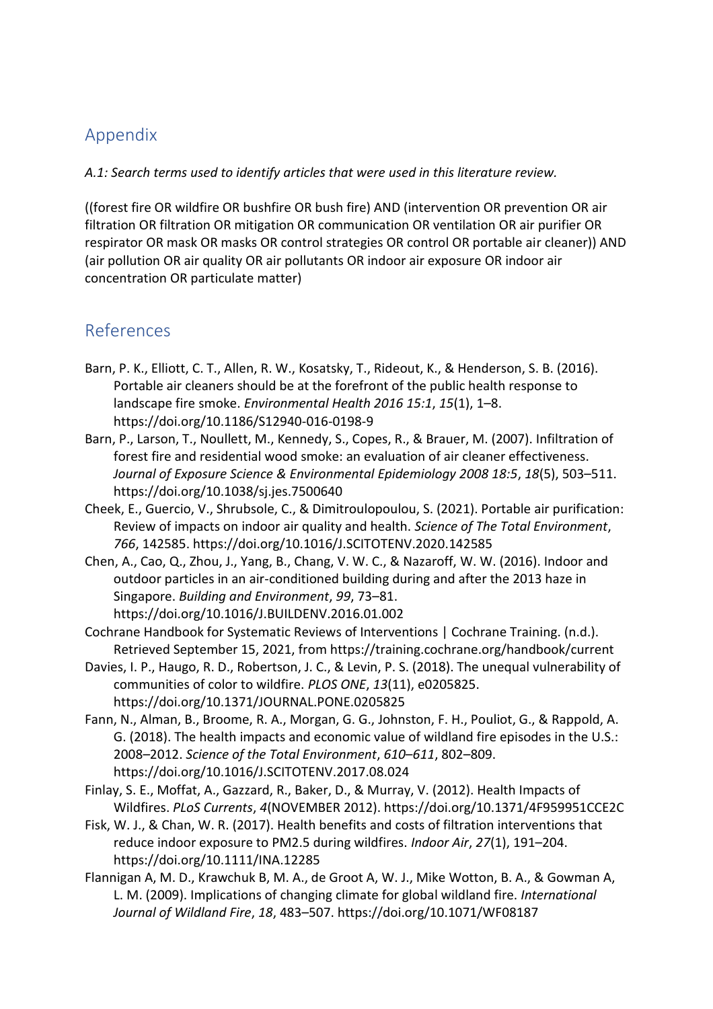# <span id="page-27-0"></span>Appendix

*A.1: Search terms used to identify articles that were used in this literature review.*

((forest fire OR wildfire OR bushfire OR bush fire) AND (intervention OR prevention OR air filtration OR filtration OR mitigation OR communication OR ventilation OR air purifier OR respirator OR mask OR masks OR control strategies OR control OR portable air cleaner)) AND (air pollution OR air quality OR air pollutants OR indoor air exposure OR indoor air concentration OR particulate matter)

# <span id="page-27-1"></span>References

- Barn, P. K., Elliott, C. T., Allen, R. W., Kosatsky, T., Rideout, K., & Henderson, S. B. (2016). Portable air cleaners should be at the forefront of the public health response to landscape fire smoke. *Environmental Health 2016 15:1*, *15*(1), 1–8. https://doi.org/10.1186/S12940-016-0198-9
- Barn, P., Larson, T., Noullett, M., Kennedy, S., Copes, R., & Brauer, M. (2007). Infiltration of forest fire and residential wood smoke: an evaluation of air cleaner effectiveness. *Journal of Exposure Science & Environmental Epidemiology 2008 18:5*, *18*(5), 503–511. https://doi.org/10.1038/sj.jes.7500640
- Cheek, E., Guercio, V., Shrubsole, C., & Dimitroulopoulou, S. (2021). Portable air purification: Review of impacts on indoor air quality and health. *Science of The Total Environment*, *766*, 142585. https://doi.org/10.1016/J.SCITOTENV.2020.142585
- Chen, A., Cao, Q., Zhou, J., Yang, B., Chang, V. W. C., & Nazaroff, W. W. (2016). Indoor and outdoor particles in an air-conditioned building during and after the 2013 haze in Singapore. *Building and Environment*, *99*, 73–81. https://doi.org/10.1016/J.BUILDENV.2016.01.002
- Cochrane Handbook for Systematic Reviews of Interventions | Cochrane Training. (n.d.). Retrieved September 15, 2021, from https://training.cochrane.org/handbook/current
- Davies, I. P., Haugo, R. D., Robertson, J. C., & Levin, P. S. (2018). The unequal vulnerability of communities of color to wildfire. *PLOS ONE*, *13*(11), e0205825. https://doi.org/10.1371/JOURNAL.PONE.0205825
- Fann, N., Alman, B., Broome, R. A., Morgan, G. G., Johnston, F. H., Pouliot, G., & Rappold, A. G. (2018). The health impacts and economic value of wildland fire episodes in the U.S.: 2008–2012. *Science of the Total Environment*, *610*–*611*, 802–809. https://doi.org/10.1016/J.SCITOTENV.2017.08.024
- Finlay, S. E., Moffat, A., Gazzard, R., Baker, D., & Murray, V. (2012). Health Impacts of Wildfires. *PLoS Currents*, *4*(NOVEMBER 2012). https://doi.org/10.1371/4F959951CCE2C
- Fisk, W. J., & Chan, W. R. (2017). Health benefits and costs of filtration interventions that reduce indoor exposure to PM2.5 during wildfires. *Indoor Air*, *27*(1), 191–204. https://doi.org/10.1111/INA.12285
- Flannigan A, M. D., Krawchuk B, M. A., de Groot A, W. J., Mike Wotton, B. A., & Gowman A, L. M. (2009). Implications of changing climate for global wildland fire. *International Journal of Wildland Fire*, *18*, 483–507. https://doi.org/10.1071/WF08187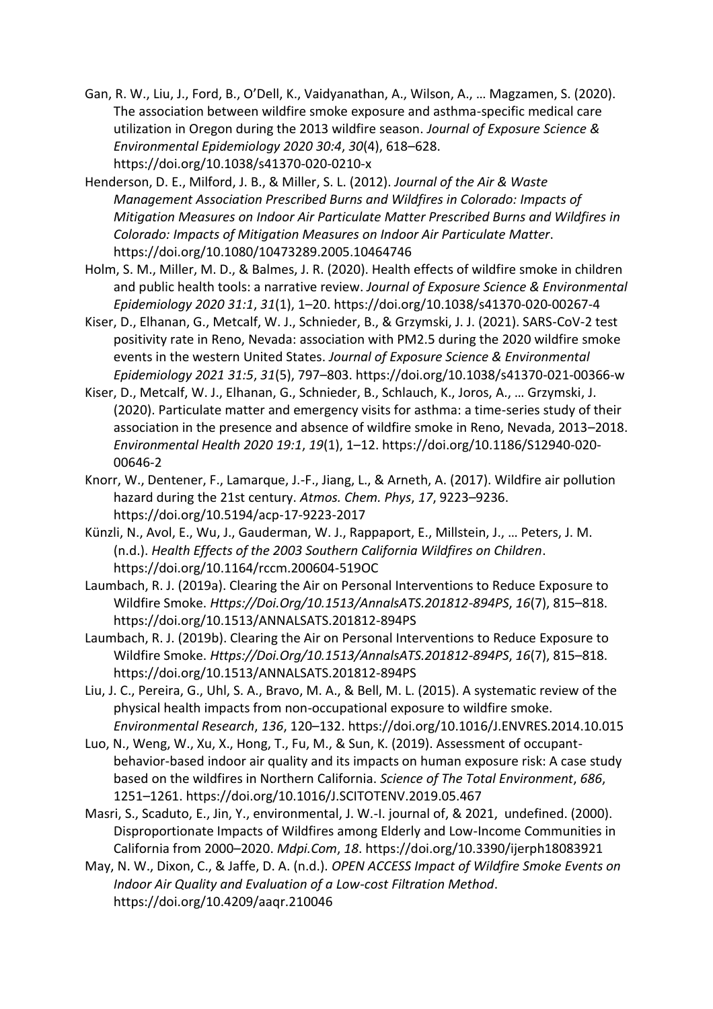- Gan, R. W., Liu, J., Ford, B., O'Dell, K., Vaidyanathan, A., Wilson, A., … Magzamen, S. (2020). The association between wildfire smoke exposure and asthma-specific medical care utilization in Oregon during the 2013 wildfire season. *Journal of Exposure Science & Environmental Epidemiology 2020 30:4*, *30*(4), 618–628. https://doi.org/10.1038/s41370-020-0210-x
- Henderson, D. E., Milford, J. B., & Miller, S. L. (2012). *Journal of the Air & Waste Management Association Prescribed Burns and Wildfires in Colorado: Impacts of Mitigation Measures on Indoor Air Particulate Matter Prescribed Burns and Wildfires in Colorado: Impacts of Mitigation Measures on Indoor Air Particulate Matter*. https://doi.org/10.1080/10473289.2005.10464746
- Holm, S. M., Miller, M. D., & Balmes, J. R. (2020). Health effects of wildfire smoke in children and public health tools: a narrative review. *Journal of Exposure Science & Environmental Epidemiology 2020 31:1*, *31*(1), 1–20. https://doi.org/10.1038/s41370-020-00267-4
- Kiser, D., Elhanan, G., Metcalf, W. J., Schnieder, B., & Grzymski, J. J. (2021). SARS-CoV-2 test positivity rate in Reno, Nevada: association with PM2.5 during the 2020 wildfire smoke events in the western United States. *Journal of Exposure Science & Environmental Epidemiology 2021 31:5*, *31*(5), 797–803. https://doi.org/10.1038/s41370-021-00366-w
- Kiser, D., Metcalf, W. J., Elhanan, G., Schnieder, B., Schlauch, K., Joros, A., … Grzymski, J. (2020). Particulate matter and emergency visits for asthma: a time-series study of their association in the presence and absence of wildfire smoke in Reno, Nevada, 2013–2018. *Environmental Health 2020 19:1*, *19*(1), 1–12. https://doi.org/10.1186/S12940-020- 00646-2
- Knorr, W., Dentener, F., Lamarque, J.-F., Jiang, L., & Arneth, A. (2017). Wildfire air pollution hazard during the 21st century. *Atmos. Chem. Phys*, *17*, 9223–9236. https://doi.org/10.5194/acp-17-9223-2017
- Künzli, N., Avol, E., Wu, J., Gauderman, W. J., Rappaport, E., Millstein, J., … Peters, J. M. (n.d.). *Health Effects of the 2003 Southern California Wildfires on Children*. https://doi.org/10.1164/rccm.200604-519OC
- Laumbach, R. J. (2019a). Clearing the Air on Personal Interventions to Reduce Exposure to Wildfire Smoke. *Https://Doi.Org/10.1513/AnnalsATS.201812-894PS*, *16*(7), 815–818. https://doi.org/10.1513/ANNALSATS.201812-894PS
- Laumbach, R. J. (2019b). Clearing the Air on Personal Interventions to Reduce Exposure to Wildfire Smoke. *Https://Doi.Org/10.1513/AnnalsATS.201812-894PS*, *16*(7), 815–818. https://doi.org/10.1513/ANNALSATS.201812-894PS
- Liu, J. C., Pereira, G., Uhl, S. A., Bravo, M. A., & Bell, M. L. (2015). A systematic review of the physical health impacts from non-occupational exposure to wildfire smoke. *Environmental Research*, *136*, 120–132. https://doi.org/10.1016/J.ENVRES.2014.10.015
- Luo, N., Weng, W., Xu, X., Hong, T., Fu, M., & Sun, K. (2019). Assessment of occupantbehavior-based indoor air quality and its impacts on human exposure risk: A case study based on the wildfires in Northern California. *Science of The Total Environment*, *686*, 1251–1261. https://doi.org/10.1016/J.SCITOTENV.2019.05.467
- Masri, S., Scaduto, E., Jin, Y., environmental, J. W.-I. journal of, & 2021, undefined. (2000). Disproportionate Impacts of Wildfires among Elderly and Low-Income Communities in California from 2000–2020. *Mdpi.Com*, *18*. https://doi.org/10.3390/ijerph18083921
- May, N. W., Dixon, C., & Jaffe, D. A. (n.d.). *OPEN ACCESS Impact of Wildfire Smoke Events on Indoor Air Quality and Evaluation of a Low-cost Filtration Method*. https://doi.org/10.4209/aaqr.210046